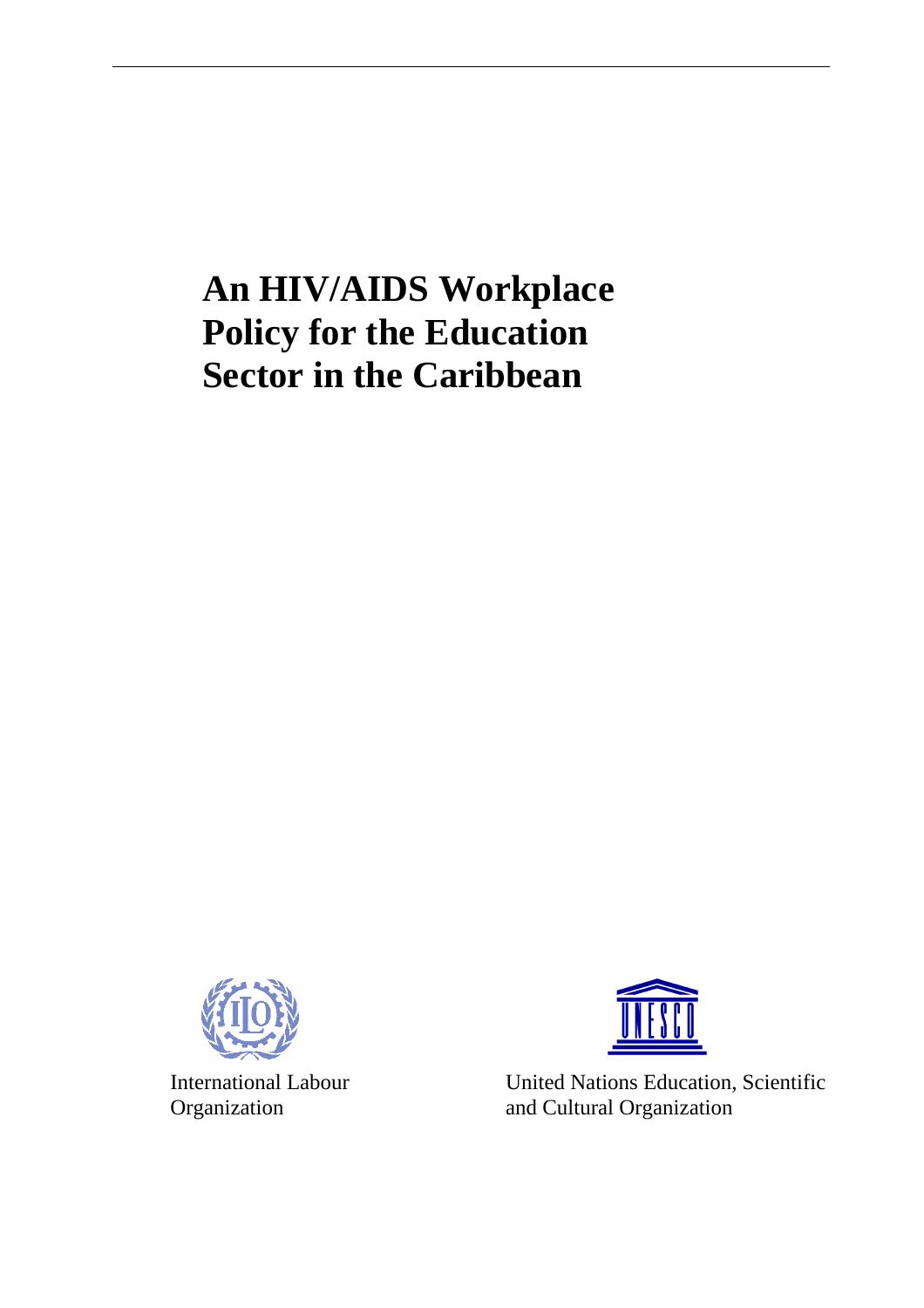# **An HIV/AIDS Workplace Policy for the Education Sector in the Caribbean**





International Labour United Nations Education, Scientific Organization and Cultural Organization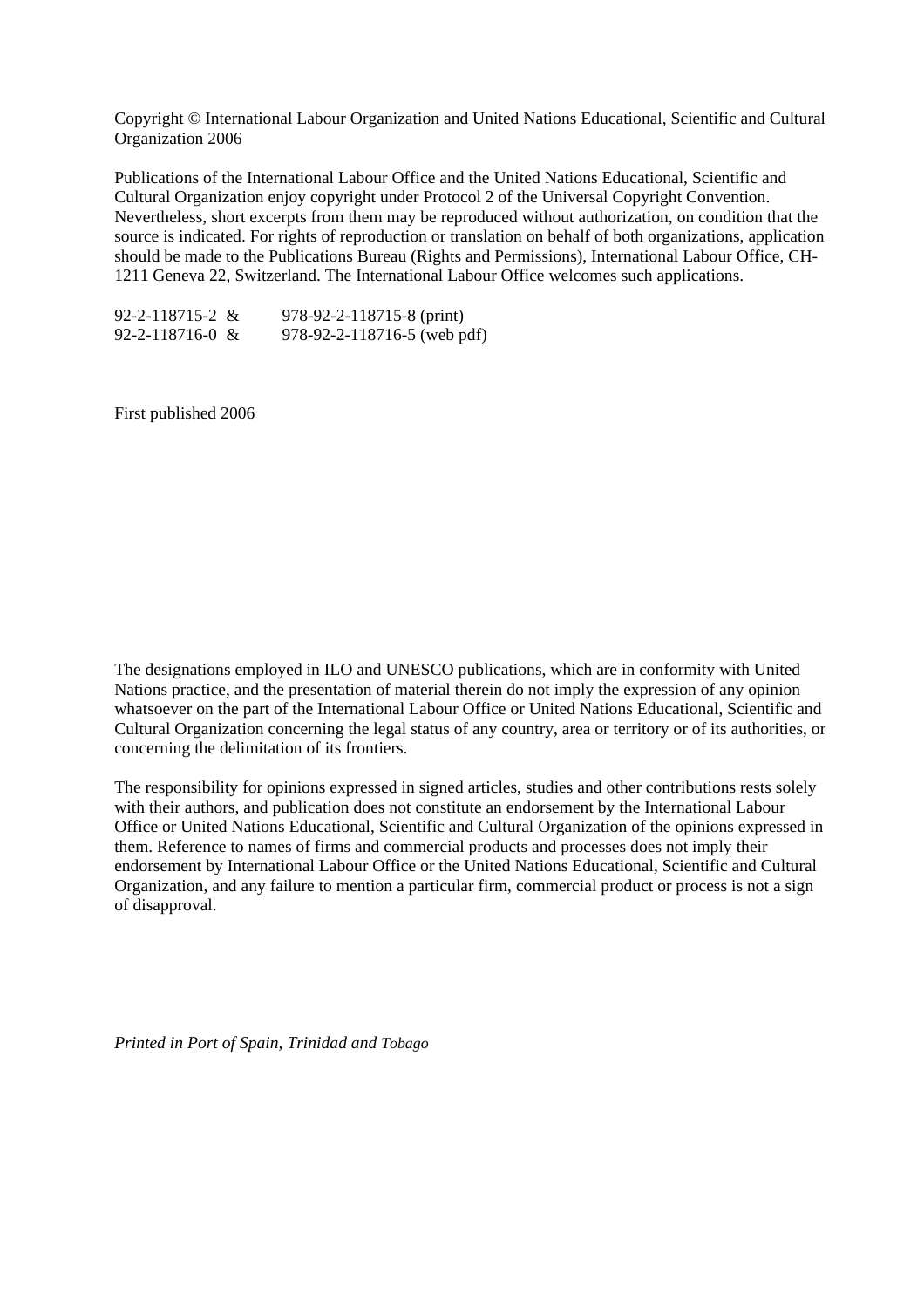Copyright © International Labour Organization and United Nations Educational, Scientific and Cultural Organization 2006

Publications of the International Labour Office and the United Nations Educational, Scientific and Cultural Organization enjoy copyright under Protocol 2 of the Universal Copyright Convention. Nevertheless, short excerpts from them may be reproduced without authorization, on condition that the source is indicated. For rights of reproduction or translation on behalf of both organizations, application should be made to the Publications Bureau (Rights and Permissions), International Labour Office, CH-1211 Geneva 22, Switzerland. The International Labour Office welcomes such applications.

| $92 - 2 - 118715 - 2 \&$ | 978-92-2-118715-8 (print)     |
|--------------------------|-------------------------------|
| $92 - 2 - 118716 - 0 \&$ | $978-92-2-118716-5$ (web pdf) |

First published 2006

The designations employed in ILO and UNESCO publications, which are in conformity with United Nations practice, and the presentation of material therein do not imply the expression of any opinion whatsoever on the part of the International Labour Office or United Nations Educational, Scientific and Cultural Organization concerning the legal status of any country, area or territory or of its authorities, or concerning the delimitation of its frontiers.

The responsibility for opinions expressed in signed articles, studies and other contributions rests solely with their authors, and publication does not constitute an endorsement by the International Labour Office or United Nations Educational, Scientific and Cultural Organization of the opinions expressed in them. Reference to names of firms and commercial products and processes does not imply their endorsement by International Labour Office or the United Nations Educational, Scientific and Cultural Organization, and any failure to mention a particular firm, commercial product or process is not a sign of disapproval.

*Printed in Port of Spain, Trinidad and Tobago*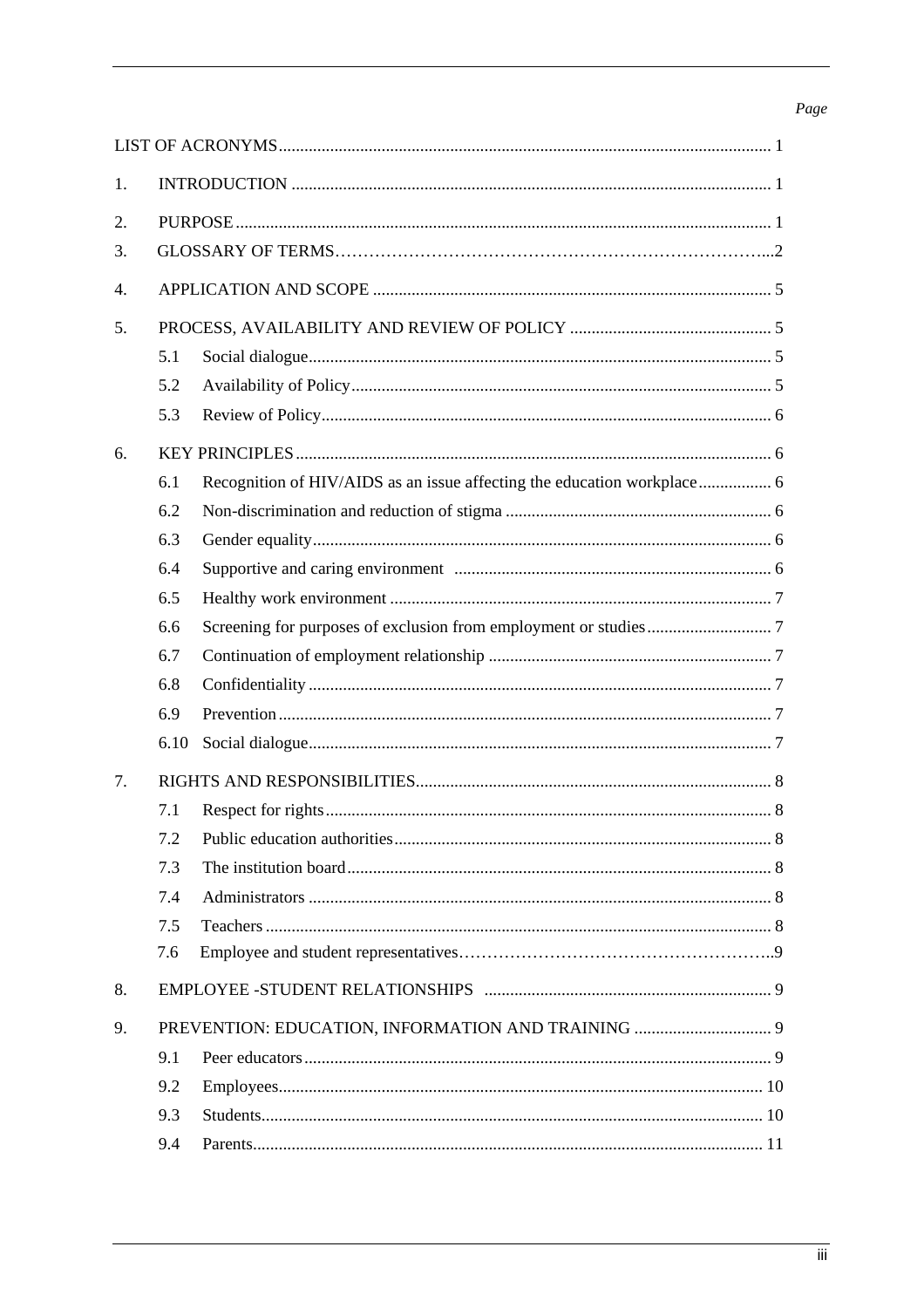# Page

| 1.               |      |  |  |
|------------------|------|--|--|
| 2.               |      |  |  |
| 3.               |      |  |  |
| $\overline{4}$ . |      |  |  |
| 5.               |      |  |  |
|                  | 5.1  |  |  |
|                  | 5.2  |  |  |
|                  | 5.3  |  |  |
| 6.               |      |  |  |
|                  | 6.1  |  |  |
|                  | 6.2  |  |  |
|                  | 6.3  |  |  |
|                  | 6.4  |  |  |
|                  | 6.5  |  |  |
|                  | 6.6  |  |  |
|                  | 6.7  |  |  |
|                  | 6.8  |  |  |
|                  | 6.9  |  |  |
|                  | 6.10 |  |  |
| 7.               |      |  |  |
|                  | 7.1  |  |  |
|                  | 7.2  |  |  |
|                  | 7.3  |  |  |
|                  | 7.4  |  |  |
|                  | 7.5  |  |  |
|                  | 7.6  |  |  |
| 8.               |      |  |  |
| 9.               |      |  |  |
|                  | 9.1  |  |  |
|                  | 9.2  |  |  |
|                  | 9.3  |  |  |
|                  | 9.4  |  |  |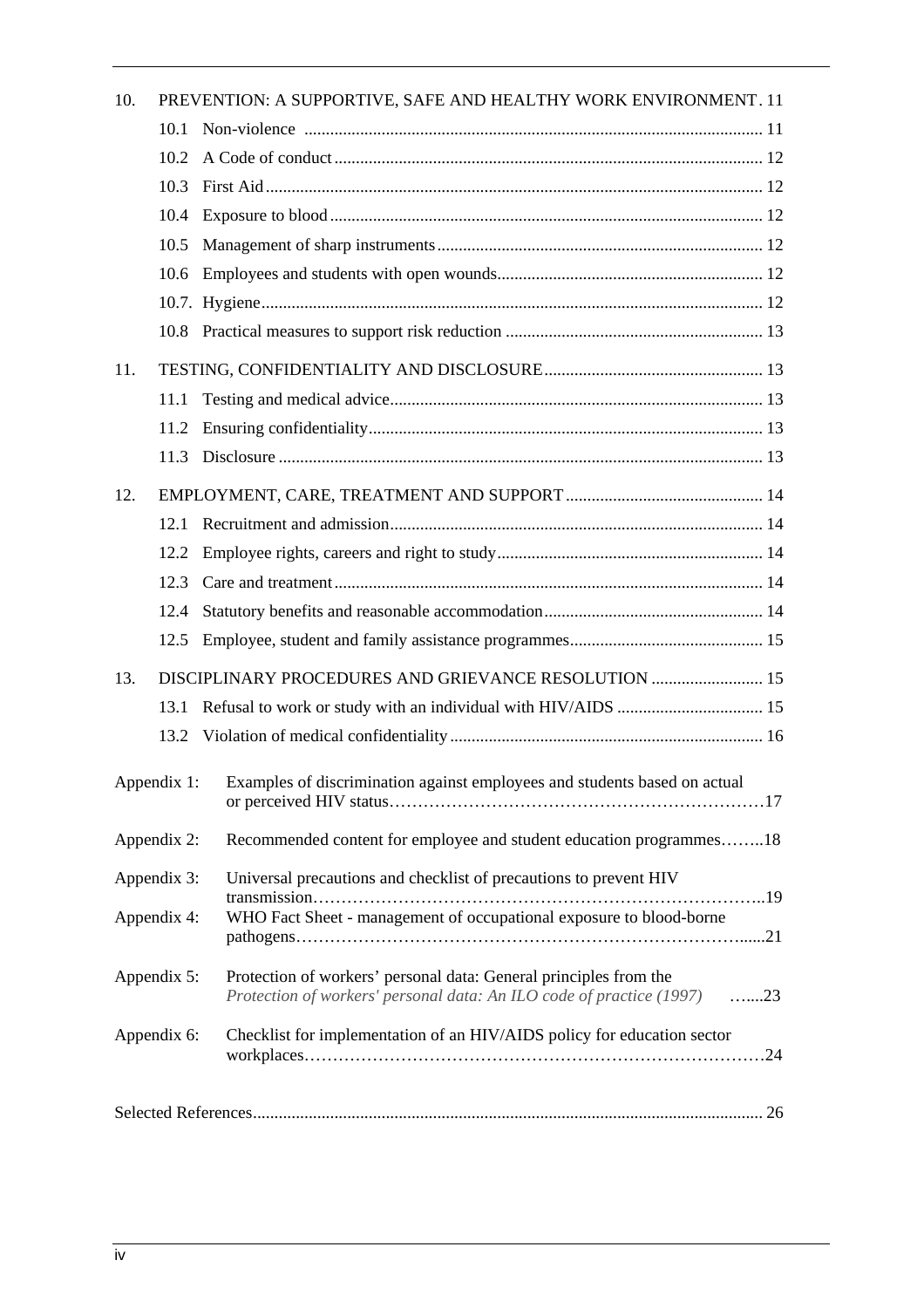| 10.         | PREVENTION: A SUPPORTIVE, SAFE AND HEALTHY WORK ENVIRONMENT. 11 |                                                                                                                                              |
|-------------|-----------------------------------------------------------------|----------------------------------------------------------------------------------------------------------------------------------------------|
|             | 10.1                                                            |                                                                                                                                              |
|             | 10.2                                                            |                                                                                                                                              |
|             | 10.3                                                            |                                                                                                                                              |
|             | 10.4                                                            |                                                                                                                                              |
|             | 10.5                                                            |                                                                                                                                              |
|             | 10.6                                                            |                                                                                                                                              |
|             |                                                                 |                                                                                                                                              |
|             |                                                                 |                                                                                                                                              |
| 11.         |                                                                 |                                                                                                                                              |
|             | 11.1                                                            |                                                                                                                                              |
|             | 11.2                                                            |                                                                                                                                              |
|             | 11.3                                                            |                                                                                                                                              |
| 12.         |                                                                 |                                                                                                                                              |
|             |                                                                 |                                                                                                                                              |
|             | 12.2                                                            |                                                                                                                                              |
|             | 12.3                                                            |                                                                                                                                              |
|             | 12.4                                                            |                                                                                                                                              |
|             | 12.5                                                            |                                                                                                                                              |
| 13.         |                                                                 | DISCIPLINARY PROCEDURES AND GRIEVANCE RESOLUTION  15                                                                                         |
|             | 13.1                                                            |                                                                                                                                              |
|             |                                                                 |                                                                                                                                              |
|             |                                                                 | Appendix 1: Examples of discrimination against employees and students based on actual                                                        |
|             | Appendix 2:                                                     | Recommended content for employee and student education programmes18                                                                          |
| Appendix 3: |                                                                 | Universal precautions and checklist of precautions to prevent HIV                                                                            |
| Appendix 4: |                                                                 | WHO Fact Sheet - management of occupational exposure to blood-borne                                                                          |
|             | Appendix 5:                                                     | Protection of workers' personal data: General principles from the<br>Protection of workers' personal data: An ILO code of practice (1997) 23 |
| Appendix 6: |                                                                 | Checklist for implementation of an HIV/AIDS policy for education sector                                                                      |
|             |                                                                 |                                                                                                                                              |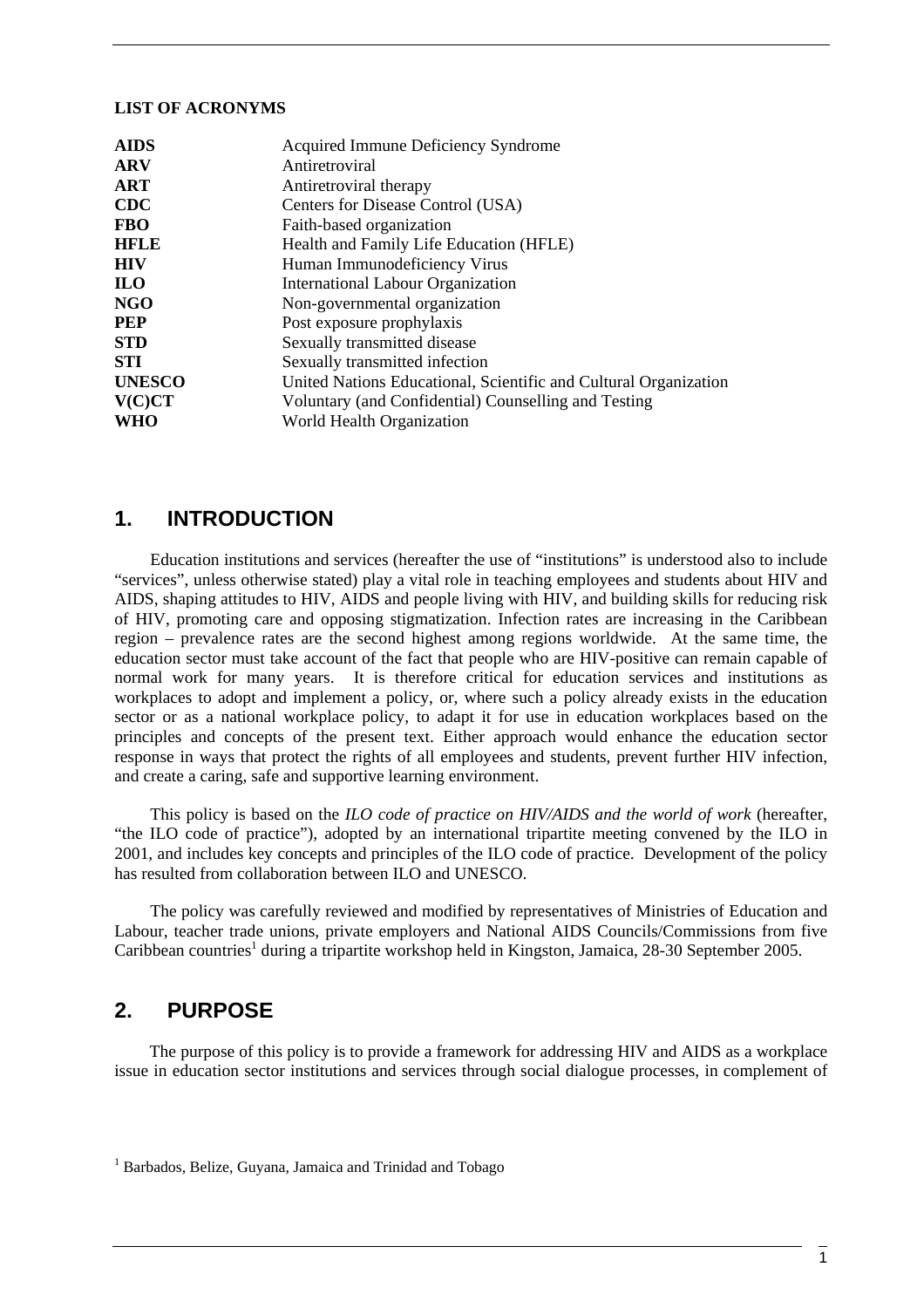#### **LIST OF ACRONYMS**

| <b>AIDS</b>   | Acquired Immune Deficiency Syndrome                              |  |
|---------------|------------------------------------------------------------------|--|
| <b>ARV</b>    | Antiretroviral                                                   |  |
| <b>ART</b>    | Antiretroviral therapy                                           |  |
| <b>CDC</b>    | Centers for Disease Control (USA)                                |  |
| <b>FBO</b>    | Faith-based organization                                         |  |
| <b>HFLE</b>   | Health and Family Life Education (HFLE)                          |  |
| <b>HIV</b>    | Human Immunodeficiency Virus                                     |  |
| <b>ILO</b>    | <b>International Labour Organization</b>                         |  |
| NGO           | Non-governmental organization                                    |  |
| <b>PEP</b>    | Post exposure prophylaxis                                        |  |
| <b>STD</b>    | Sexually transmitted disease                                     |  |
| <b>STI</b>    | Sexually transmitted infection                                   |  |
| <b>UNESCO</b> | United Nations Educational, Scientific and Cultural Organization |  |
| V(C)CT        | Voluntary (and Confidential) Counselling and Testing             |  |
| <b>WHO</b>    | World Health Organization                                        |  |

# **1. INTRODUCTION**

Education institutions and services (hereafter the use of "institutions" is understood also to include "services", unless otherwise stated) play a vital role in teaching employees and students about HIV and AIDS, shaping attitudes to HIV, AIDS and people living with HIV, and building skills for reducing risk of HIV, promoting care and opposing stigmatization. Infection rates are increasing in the Caribbean region – prevalence rates are the second highest among regions worldwide. At the same time, the education sector must take account of the fact that people who are HIV-positive can remain capable of normal work for many years. It is therefore critical for education services and institutions as workplaces to adopt and implement a policy, or, where such a policy already exists in the education sector or as a national workplace policy, to adapt it for use in education workplaces based on the principles and concepts of the present text. Either approach would enhance the education sector response in ways that protect the rights of all employees and students, prevent further HIV infection, and create a caring, safe and supportive learning environment.

This policy is based on the *ILO code of practice on HIV/AIDS and the world of work* (hereafter, "the ILO code of practice"), adopted by an international tripartite meeting convened by the ILO in 2001, and includes key concepts and principles of the ILO code of practice. Development of the policy has resulted from collaboration between ILO and UNESCO.

The policy was carefully reviewed and modified by representatives of Ministries of Education and Labour, teacher trade unions, private employers and National AIDS Councils/Commissions from five Caribbean countries<sup>1</sup> during a tripartite workshop held in Kingston, Jamaica, 28-30 September 2005.

# **2. PURPOSE**

The purpose of this policy is to provide a framework for addressing HIV and AIDS as a workplace issue in education sector institutions and services through social dialogue processes, in complement of

<sup>&</sup>lt;sup>1</sup> Barbados, Belize, Guyana, Jamaica and Trinidad and Tobago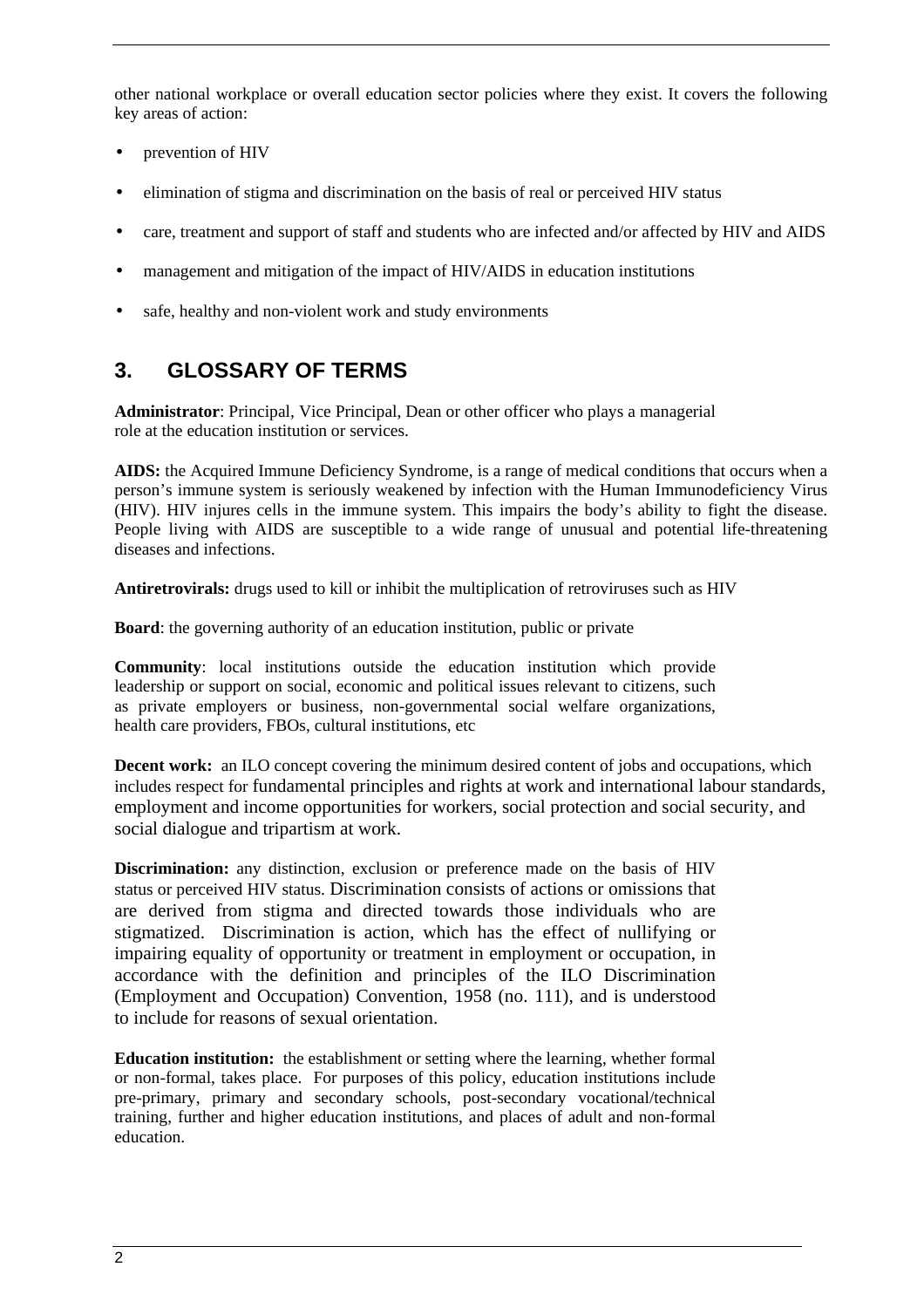other national workplace or overall education sector policies where they exist. It covers the following key areas of action:

- prevention of HIV
- elimination of stigma and discrimination on the basis of real or perceived HIV status
- care, treatment and support of staff and students who are infected and/or affected by HIV and AIDS
- management and mitigation of the impact of HIV/AIDS in education institutions
- safe, healthy and non-violent work and study environments

# **3. GLOSSARY OF TERMS**

**Administrator**: Principal, Vice Principal, Dean or other officer who plays a managerial role at the education institution or services.

**AIDS:** the Acquired Immune Deficiency Syndrome, is a range of medical conditions that occurs when a person's immune system is seriously weakened by infection with the Human Immunodeficiency Virus (HIV). HIV injures cells in the immune system. This impairs the body's ability to fight the disease. People living with AIDS are susceptible to a wide range of unusual and potential life-threatening diseases and infections.

**Antiretrovirals:** drugs used to kill or inhibit the multiplication of retroviruses such as HIV

**Board**: the governing authority of an education institution, public or private

**Community**: local institutions outside the education institution which provide leadership or support on social, economic and political issues relevant to citizens, such as private employers or business, non-governmental social welfare organizations, health care providers, FBOs, cultural institutions, etc

**Decent work:** an ILO concept covering the minimum desired content of jobs and occupations, which includes respect for fundamental principles and rights at work and international labour standards, employment and income opportunities for workers, social protection and social security, and social dialogue and tripartism at work.

**Discrimination:** any distinction, exclusion or preference made on the basis of HIV status or perceived HIV status. Discrimination consists of actions or omissions that are derived from stigma and directed towards those individuals who are stigmatized. Discrimination is action, which has the effect of nullifying or impairing equality of opportunity or treatment in employment or occupation, in accordance with the definition and principles of the ILO Discrimination (Employment and Occupation) Convention, 1958 (no. 111), and is understood to include for reasons of sexual orientation.

**Education institution:** the establishment or setting where the learning, whether formal or non-formal, takes place. For purposes of this policy, education institutions include pre-primary, primary and secondary schools, post-secondary vocational/technical training, further and higher education institutions, and places of adult and non-formal education.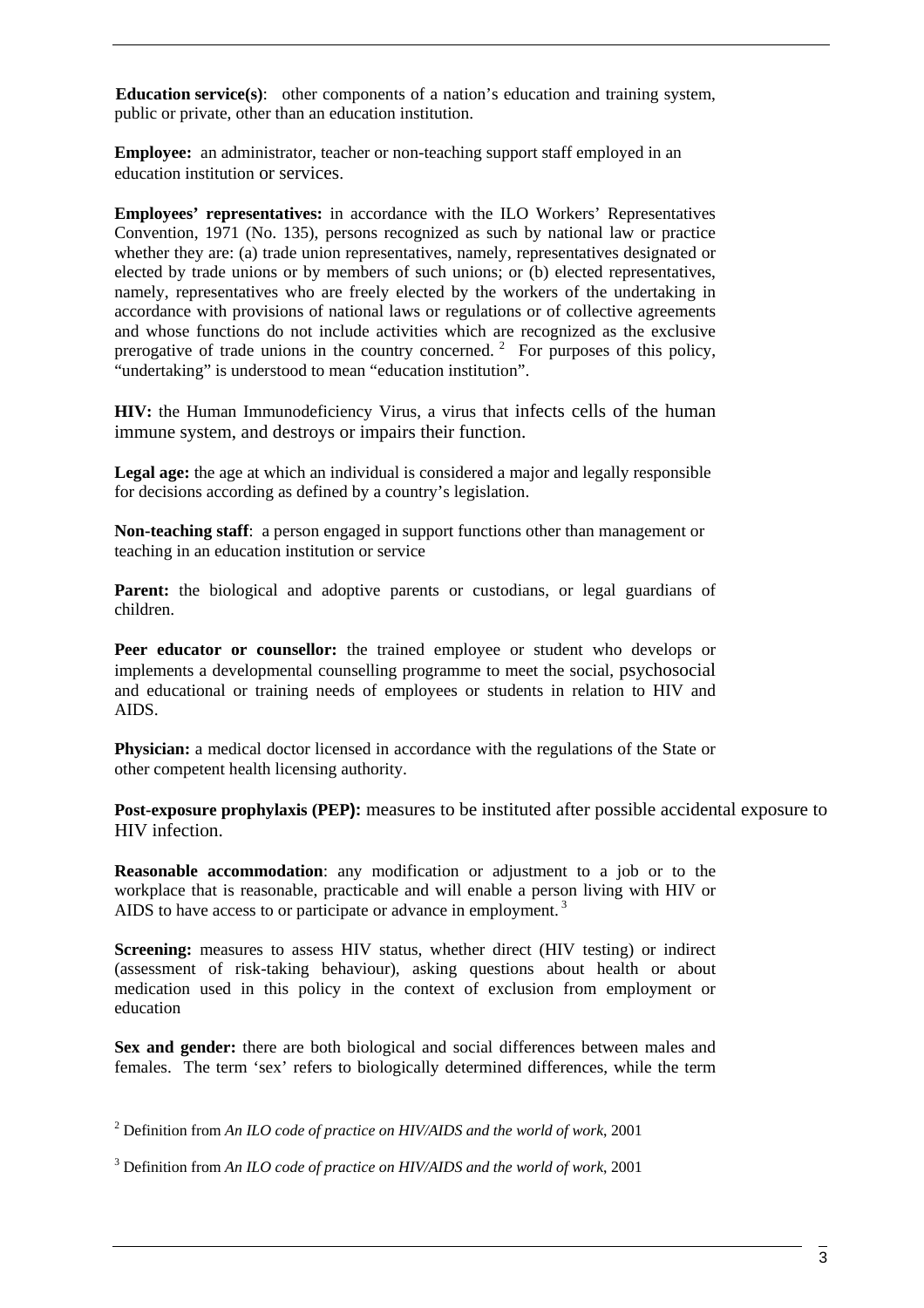**Education service(s)**: other components of a nation's education and training system, public or private, other than an education institution.

**Employee:** an administrator, teacher or non-teaching support staff employed in an education institution or services.

**Employees' representatives:** in accordance with the ILO Workers' Representatives Convention, 1971 (No. 135), persons recognized as such by national law or practice whether they are: (a) trade union representatives, namely, representatives designated or elected by trade unions or by members of such unions; or (b) elected representatives, namely, representatives who are freely elected by the workers of the undertaking in accordance with provisions of national laws or regulations or of collective agreements and whose functions do not include activities which are recognized as the exclusive prerogative of trade unions in the country concerned.<sup>2</sup> For purposes of this policy, "undertaking" is understood to mean "education institution".

**HIV:** the Human Immunodeficiency Virus, a virus that infects cells of the human immune system, and destroys or impairs their function.

**Legal age:** the age at which an individual is considered a major and legally responsible for decisions according as defined by a country's legislation.

**Non-teaching staff**: a person engaged in support functions other than management or teaching in an education institution or service

**Parent:** the biological and adoptive parents or custodians, or legal guardians of children.

**Peer educator or counsellor:** the trained employee or student who develops or implements a developmental counselling programme to meet the social, psychosocial and educational or training needs of employees or students in relation to HIV and AIDS.

**Physician:** a medical doctor licensed in accordance with the regulations of the State or other competent health licensing authority.

**Post-exposure prophylaxis (PEP):** measures to be instituted after possible accidental exposure to HIV infection.

**Reasonable accommodation**: any modification or adjustment to a job or to the workplace that is reasonable, practicable and will enable a person living with HIV or AIDS to have access to or participate or advance in employment.<sup>3</sup>

**Screening:** measures to assess HIV status, whether direct (HIV testing) or indirect (assessment of risk-taking behaviour), asking questions about health or about medication used in this policy in the context of exclusion from employment or education

**Sex and gender:** there are both biological and social differences between males and females. The term 'sex' refers to biologically determined differences, while the term

2 Definition from *An ILO code of practice on HIV/AIDS and the world of work*, 2001

3 Definition from *An ILO code of practice on HIV/AIDS and the world of work*, 2001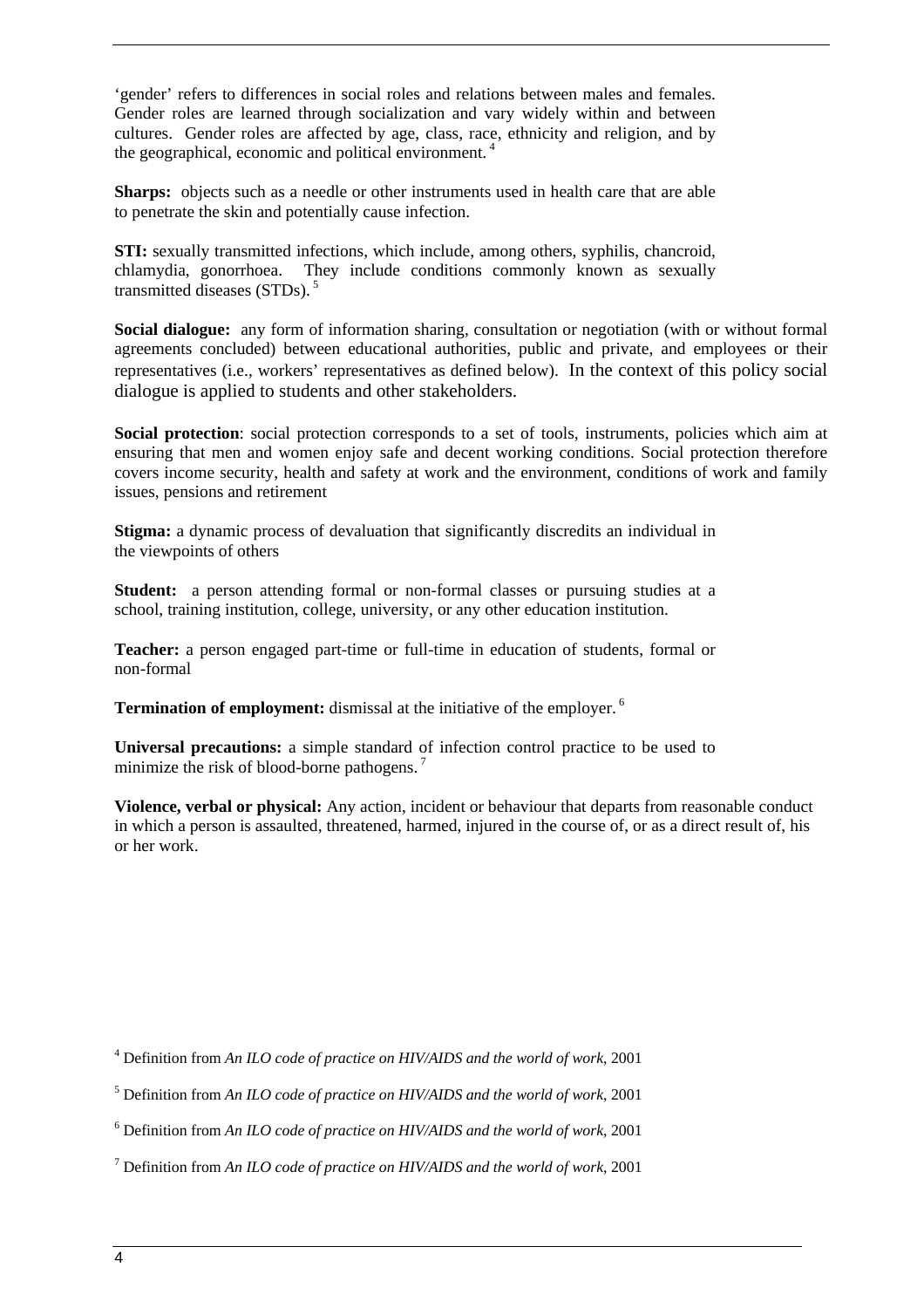'gender' refers to differences in social roles and relations between males and females. Gender roles are learned through socialization and vary widely within and between cultures. Gender roles are affected by age, class, race, ethnicity and religion, and by the geographical, economic and political environment.<sup>4</sup>

**Sharps:** objects such as a needle or other instruments used in health care that are able to penetrate the skin and potentially cause infection.

**STI:** sexually transmitted infections, which include, among others, syphilis, chancroid, chlamydia, gonorrhoea. They include conditions commonly known as sexually transmitted diseases  $(STDs)$ .<sup>5</sup>

**Social dialogue:** any form of information sharing, consultation or negotiation (with or without formal agreements concluded) between educational authorities, public and private, and employees or their representatives (i.e., workers' representatives as defined below). In the context of this policy social dialogue is applied to students and other stakeholders.

Social protection: social protection corresponds to a set of tools, instruments, policies which aim at ensuring that men and women enjoy safe and decent working conditions. Social protection therefore covers income security, health and safety at work and the environment, conditions of work and family issues, pensions and retirement

**Stigma:** a dynamic process of devaluation that significantly discredits an individual in the viewpoints of others

**Student:** a person attending formal or non-formal classes or pursuing studies at a school, training institution, college, university, or any other education institution.

**Teacher:** a person engaged part-time or full-time in education of students, formal or non-formal

**Termination of employment:** dismissal at the initiative of the employer.<sup>6</sup>

**Universal precautions:** a simple standard of infection control practice to be used to minimize the risk of blood-borne pathogens.<sup>7</sup>

**Violence, verbal or physical:** Any action, incident or behaviour that departs from reasonable conduct in which a person is assaulted, threatened, harmed, injured in the course of, or as a direct result of, his or her work.

4 Definition from *An ILO code of practice on HIV/AIDS and the world of work*, 2001

5 Definition from *An ILO code of practice on HIV/AIDS and the world of work*, 2001

6 Definition from *An ILO code of practice on HIV/AIDS and the world of work*, 2001

7 Definition from *An ILO code of practice on HIV/AIDS and the world of work*, 2001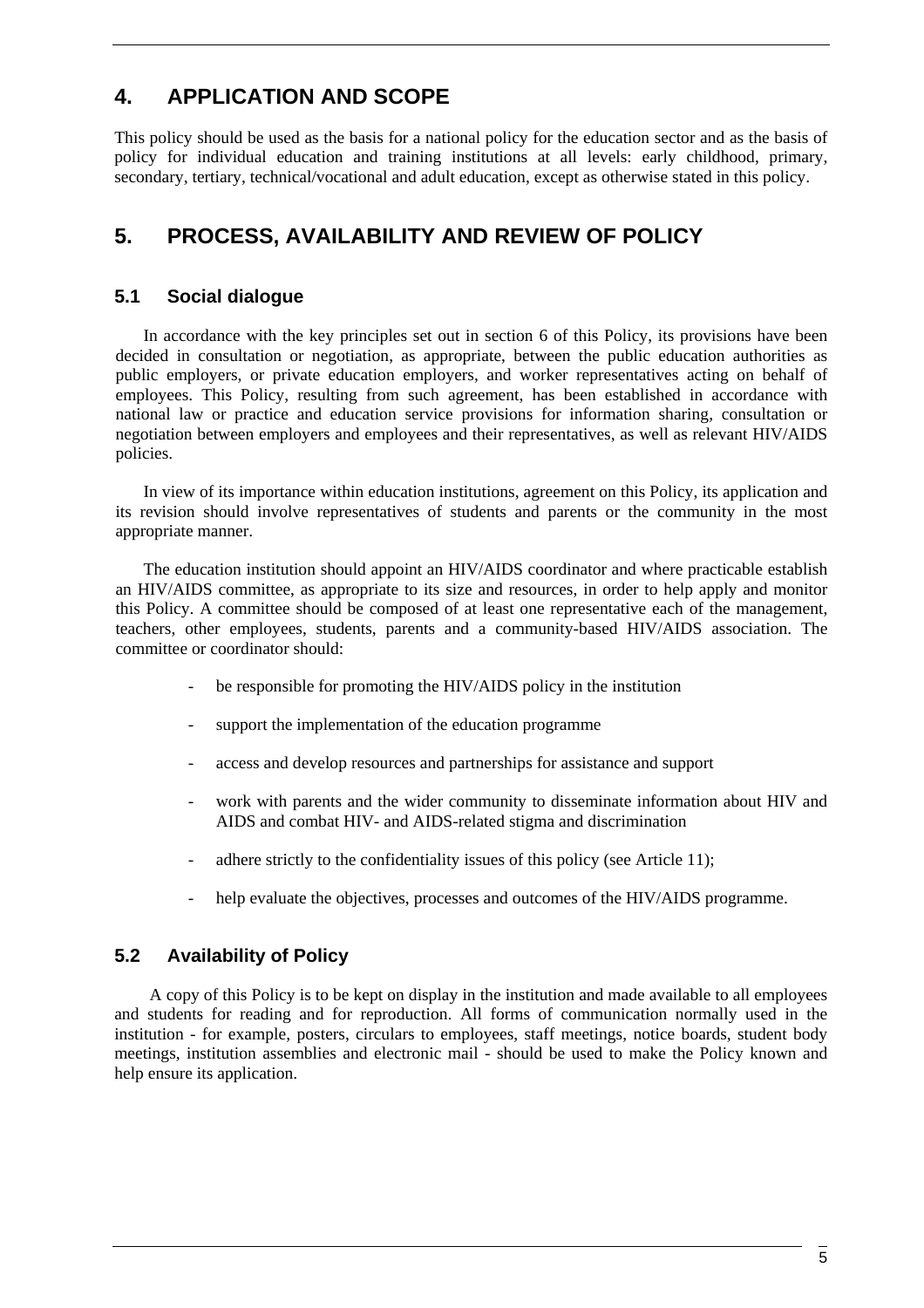# **4. APPLICATION AND SCOPE**

This policy should be used as the basis for a national policy for the education sector and as the basis of policy for individual education and training institutions at all levels: early childhood, primary, secondary, tertiary, technical/vocational and adult education, except as otherwise stated in this policy.

# **5. PROCESS, AVAILABILITY AND REVIEW OF POLICY**

# **5.1 Social dialogue**

In accordance with the key principles set out in section 6 of this Policy, its provisions have been decided in consultation or negotiation, as appropriate, between the public education authorities as public employers, or private education employers, and worker representatives acting on behalf of employees. This Policy, resulting from such agreement, has been established in accordance with national law or practice and education service provisions for information sharing, consultation or negotiation between employers and employees and their representatives, as well as relevant HIV/AIDS policies.

In view of its importance within education institutions, agreement on this Policy, its application and its revision should involve representatives of students and parents or the community in the most appropriate manner.

The education institution should appoint an HIV/AIDS coordinator and where practicable establish an HIV/AIDS committee, as appropriate to its size and resources, in order to help apply and monitor this Policy. A committee should be composed of at least one representative each of the management, teachers, other employees, students, parents and a community-based HIV/AIDS association. The committee or coordinator should:

- be responsible for promoting the HIV/AIDS policy in the institution
- support the implementation of the education programme
- access and develop resources and partnerships for assistance and support
- work with parents and the wider community to disseminate information about HIV and AIDS and combat HIV- and AIDS-related stigma and discrimination
- adhere strictly to the confidentiality issues of this policy (see Article 11);
- help evaluate the objectives, processes and outcomes of the HIV/AIDS programme.

### **5.2 Availability of Policy**

A copy of this Policy is to be kept on display in the institution and made available to all employees and students for reading and for reproduction. All forms of communication normally used in the institution - for example, posters, circulars to employees, staff meetings, notice boards, student body meetings, institution assemblies and electronic mail - should be used to make the Policy known and help ensure its application.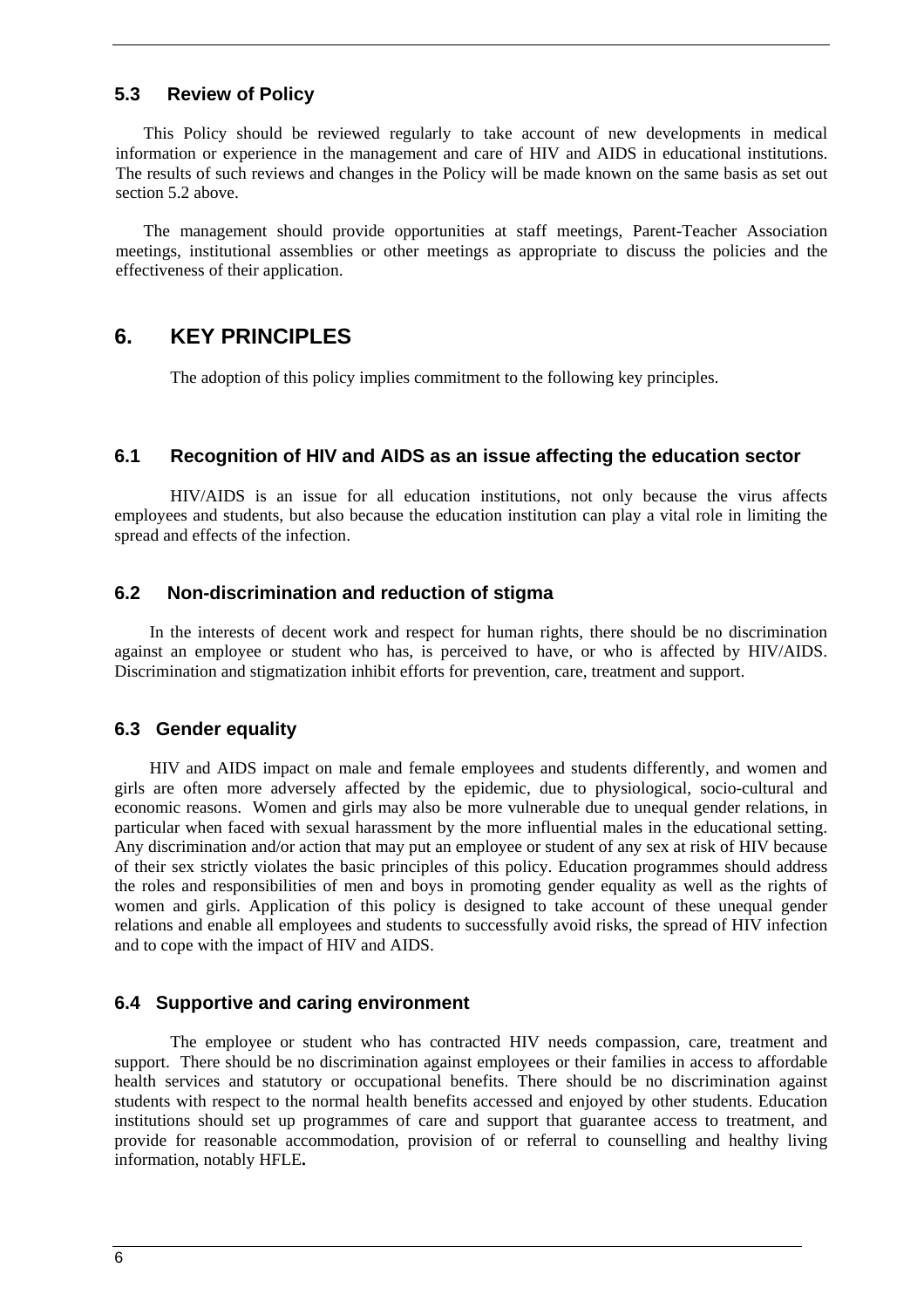### **5.3 Review of Policy**

This Policy should be reviewed regularly to take account of new developments in medical information or experience in the management and care of HIV and AIDS in educational institutions. The results of such reviews and changes in the Policy will be made known on the same basis as set out section 5.2 above.

The management should provide opportunities at staff meetings, Parent-Teacher Association meetings, institutional assemblies or other meetings as appropriate to discuss the policies and the effectiveness of their application.

# **6. KEY PRINCIPLES**

The adoption of this policy implies commitment to the following key principles.

#### **6.1 Recognition of HIV and AIDS as an issue affecting the education sector**

HIV/AIDS is an issue for all education institutions, not only because the virus affects employees and students, but also because the education institution can play a vital role in limiting the spread and effects of the infection.

### **6.2 Non-discrimination and reduction of stigma**

In the interests of decent work and respect for human rights, there should be no discrimination against an employee or student who has, is perceived to have, or who is affected by HIV/AIDS. Discrimination and stigmatization inhibit efforts for prevention, care, treatment and support.

#### **6.3 Gender equality**

HIV and AIDS impact on male and female employees and students differently, and women and girls are often more adversely affected by the epidemic, due to physiological, socio-cultural and economic reasons. Women and girls may also be more vulnerable due to unequal gender relations, in particular when faced with sexual harassment by the more influential males in the educational setting. Any discrimination and/or action that may put an employee or student of any sex at risk of HIV because of their sex strictly violates the basic principles of this policy. Education programmes should address the roles and responsibilities of men and boys in promoting gender equality as well as the rights of women and girls. Application of this policy is designed to take account of these unequal gender relations and enable all employees and students to successfully avoid risks, the spread of HIV infection and to cope with the impact of HIV and AIDS.

### **6.4 Supportive and caring environment**

The employee or student who has contracted HIV needs compassion, care, treatment and support. There should be no discrimination against employees or their families in access to affordable health services and statutory or occupational benefits. There should be no discrimination against students with respect to the normal health benefits accessed and enjoyed by other students. Education institutions should set up programmes of care and support that guarantee access to treatment, and provide for reasonable accommodation, provision of or referral to counselling and healthy living information, notably HFLE**.**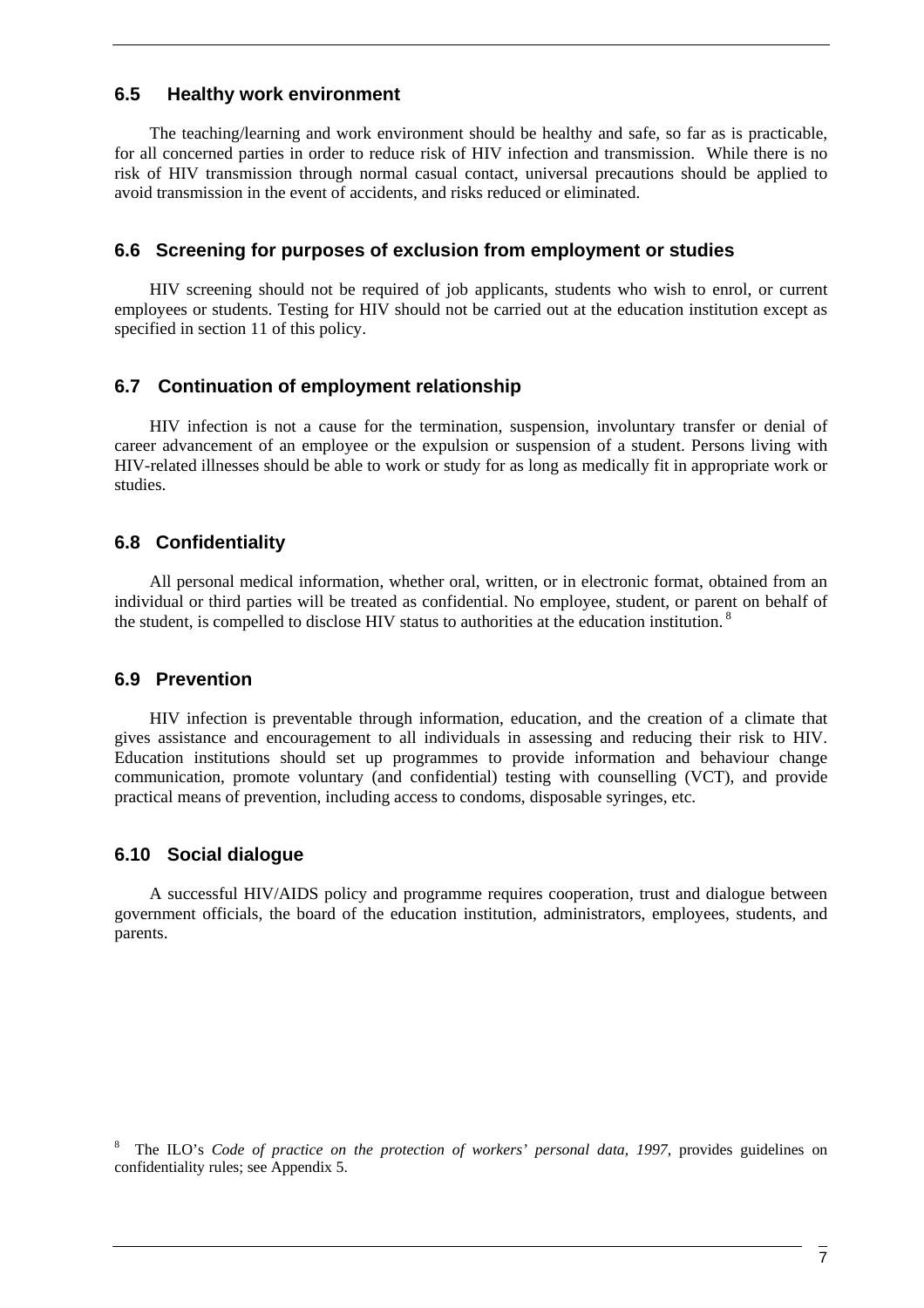### **6.5 Healthy work environment**

The teaching/learning and work environment should be healthy and safe, so far as is practicable, for all concerned parties in order to reduce risk of HIV infection and transmission. While there is no risk of HIV transmission through normal casual contact, universal precautions should be applied to avoid transmission in the event of accidents, and risks reduced or eliminated.

#### **6.6 Screening for purposes of exclusion from employment or studies**

HIV screening should not be required of job applicants, students who wish to enrol, or current employees or students. Testing for HIV should not be carried out at the education institution except as specified in section 11 of this policy.

### **6.7 Continuation of employment relationship**

HIV infection is not a cause for the termination, suspension, involuntary transfer or denial of career advancement of an employee or the expulsion or suspension of a student. Persons living with HIV-related illnesses should be able to work or study for as long as medically fit in appropriate work or studies.

### **6.8 Confidentiality**

All personal medical information, whether oral, written, or in electronic format, obtained from an individual or third parties will be treated as confidential. No employee, student, or parent on behalf of the student, is compelled to disclose HIV status to authorities at the education institution.<sup>8</sup>

#### **6.9 Prevention**

HIV infection is preventable through information, education, and the creation of a climate that gives assistance and encouragement to all individuals in assessing and reducing their risk to HIV. Education institutions should set up programmes to provide information and behaviour change communication, promote voluntary (and confidential) testing with counselling (VCT), and provide practical means of prevention, including access to condoms, disposable syringes, etc.

### **6.10 Social dialogue**

A successful HIV/AIDS policy and programme requires cooperation, trust and dialogue between government officials, the board of the education institution, administrators, employees, students, and parents.

<sup>8</sup> The ILO's *Code of practice on the protection of workers' personal data, 1997*, provides guidelines on confidentiality rules; see Appendix 5.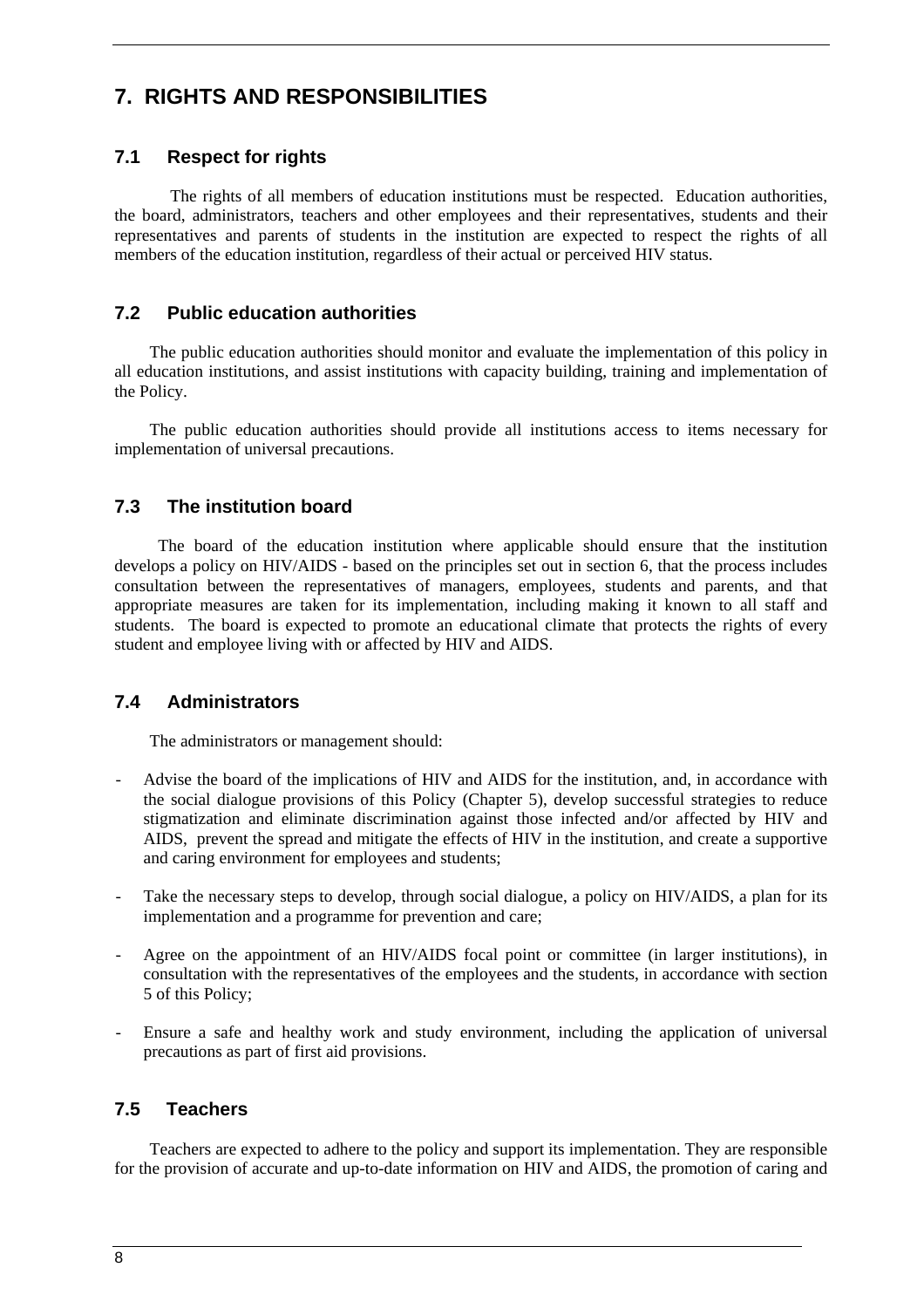# **7. RIGHTS AND RESPONSIBILITIES**

# **7.1 Respect for rights**

The rights of all members of education institutions must be respected. Education authorities, the board, administrators, teachers and other employees and their representatives, students and their representatives and parents of students in the institution are expected to respect the rights of all members of the education institution, regardless of their actual or perceived HIV status.

# **7.2 Public education authorities**

The public education authorities should monitor and evaluate the implementation of this policy in all education institutions, and assist institutions with capacity building, training and implementation of the Policy.

The public education authorities should provide all institutions access to items necessary for implementation of universal precautions.

# **7.3 The institution board**

 The board of the education institution where applicable should ensure that the institution develops a policy on HIV/AIDS - based on the principles set out in section 6, that the process includes consultation between the representatives of managers, employees, students and parents, and that appropriate measures are taken for its implementation, including making it known to all staff and students. The board is expected to promote an educational climate that protects the rights of every student and employee living with or affected by HIV and AIDS.

### **7.4 Administrators**

The administrators or management should:

- Advise the board of the implications of HIV and AIDS for the institution, and, in accordance with the social dialogue provisions of this Policy (Chapter 5), develop successful strategies to reduce stigmatization and eliminate discrimination against those infected and/or affected by HIV and AIDS, prevent the spread and mitigate the effects of HIV in the institution, and create a supportive and caring environment for employees and students;
- Take the necessary steps to develop, through social dialogue, a policy on HIV/AIDS, a plan for its implementation and a programme for prevention and care;
- Agree on the appointment of an HIV/AIDS focal point or committee (in larger institutions), in consultation with the representatives of the employees and the students, in accordance with section 5 of this Policy;
- Ensure a safe and healthy work and study environment, including the application of universal precautions as part of first aid provisions.

### **7.5 Teachers**

Teachers are expected to adhere to the policy and support its implementation. They are responsible for the provision of accurate and up-to-date information on HIV and AIDS, the promotion of caring and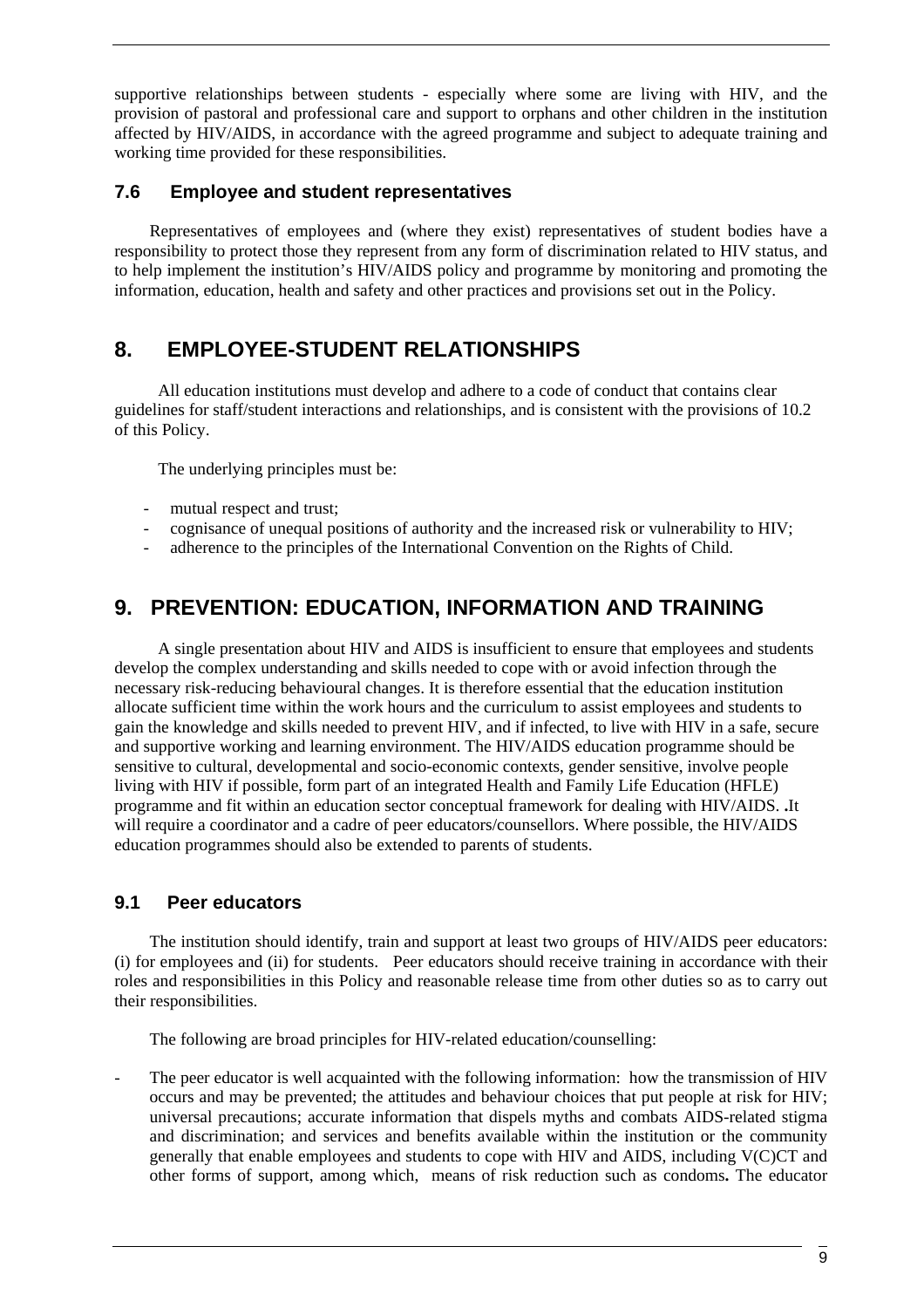supportive relationships between students - especially where some are living with HIV, and the provision of pastoral and professional care and support to orphans and other children in the institution affected by HIV/AIDS, in accordance with the agreed programme and subject to adequate training and working time provided for these responsibilities.

### **7.6 Employee and student representatives**

Representatives of employees and (where they exist) representatives of student bodies have a responsibility to protect those they represent from any form of discrimination related to HIV status, and to help implement the institution's HIV/AIDS policy and programme by monitoring and promoting the information, education, health and safety and other practices and provisions set out in the Policy.

# **8. EMPLOYEE-STUDENT RELATIONSHIPS**

All education institutions must develop and adhere to a code of conduct that contains clear guidelines for staff/student interactions and relationships, and is consistent with the provisions of 10.2 of this Policy.

The underlying principles must be:

- mutual respect and trust;
- cognisance of unequal positions of authority and the increased risk or vulnerability to HIV;
- adherence to the principles of the International Convention on the Rights of Child.

# **9. PREVENTION: EDUCATION, INFORMATION AND TRAINING**

A single presentation about HIV and AIDS is insufficient to ensure that employees and students develop the complex understanding and skills needed to cope with or avoid infection through the necessary risk-reducing behavioural changes. It is therefore essential that the education institution allocate sufficient time within the work hours and the curriculum to assist employees and students to gain the knowledge and skills needed to prevent HIV, and if infected, to live with HIV in a safe, secure and supportive working and learning environment. The HIV/AIDS education programme should be sensitive to cultural, developmental and socio-economic contexts, gender sensitive, involve people living with HIV if possible, form part of an integrated Health and Family Life Education (HFLE) programme and fit within an education sector conceptual framework for dealing with HIV/AIDS. **.**It will require a coordinator and a cadre of peer educators/counsellors. Where possible, the HIV/AIDS education programmes should also be extended to parents of students.

# **9.1 Peer educators**

The institution should identify, train and support at least two groups of HIV/AIDS peer educators: (i) for employees and (ii) for students. Peer educators should receive training in accordance with their roles and responsibilities in this Policy and reasonable release time from other duties so as to carry out their responsibilities.

The following are broad principles for HIV-related education/counselling:

The peer educator is well acquainted with the following information: how the transmission of HIV occurs and may be prevented; the attitudes and behaviour choices that put people at risk for HIV; universal precautions; accurate information that dispels myths and combats AIDS-related stigma and discrimination; and services and benefits available within the institution or the community generally that enable employees and students to cope with HIV and AIDS, including V(C)CT and other forms of support, among which, means of risk reduction such as condoms**.** The educator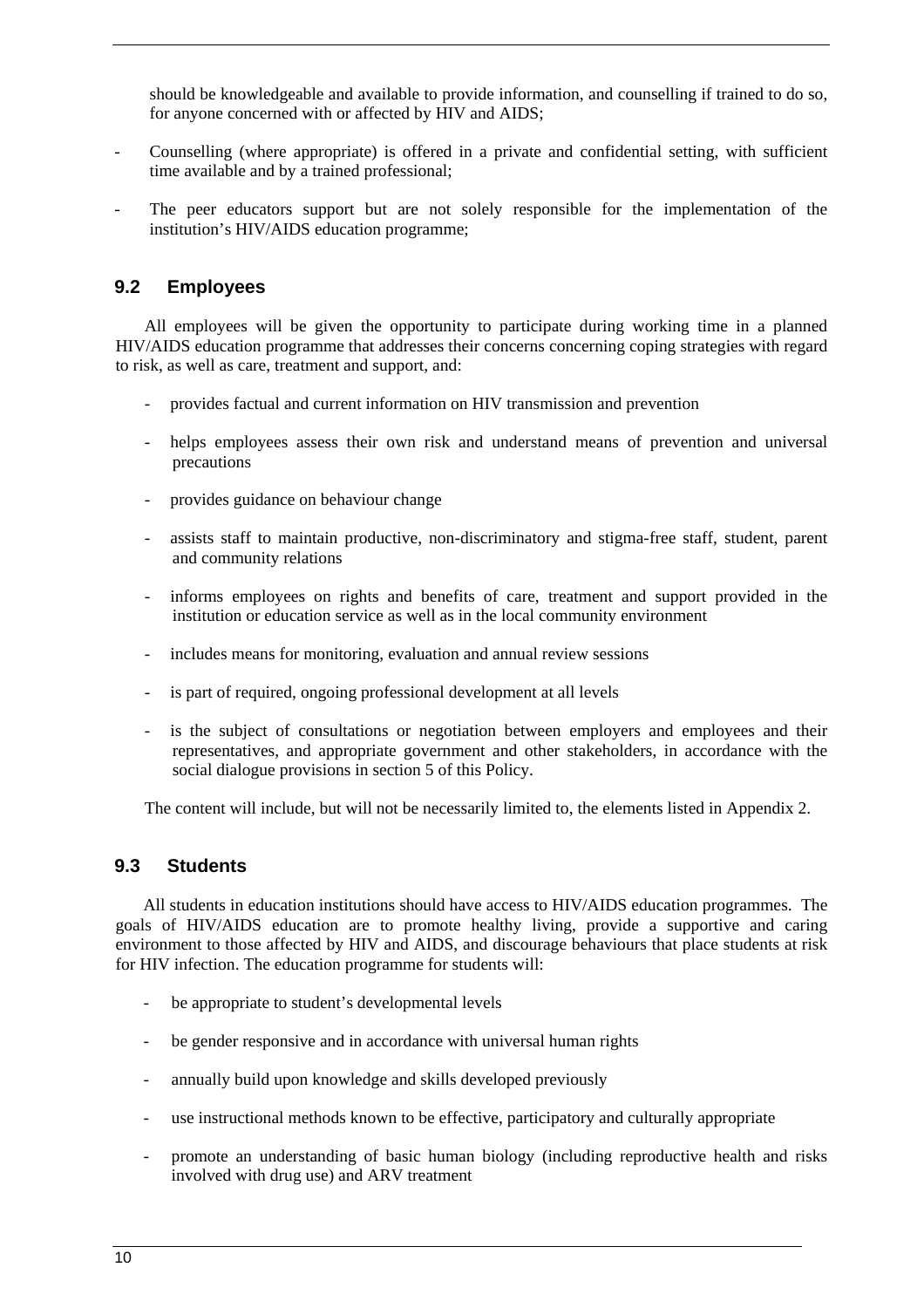should be knowledgeable and available to provide information, and counselling if trained to do so, for anyone concerned with or affected by HIV and AIDS;

- Counselling (where appropriate) is offered in a private and confidential setting, with sufficient time available and by a trained professional;
- The peer educators support but are not solely responsible for the implementation of the institution's HIV/AIDS education programme;

### **9.2 Employees**

All employees will be given the opportunity to participate during working time in a planned HIV/AIDS education programme that addresses their concerns concerning coping strategies with regard to risk, as well as care, treatment and support, and:

- provides factual and current information on HIV transmission and prevention
- helps employees assess their own risk and understand means of prevention and universal precautions
- provides guidance on behaviour change
- assists staff to maintain productive, non-discriminatory and stigma-free staff, student, parent and community relations
- informs employees on rights and benefits of care, treatment and support provided in the institution or education service as well as in the local community environment
- includes means for monitoring, evaluation and annual review sessions
- is part of required, ongoing professional development at all levels
- is the subject of consultations or negotiation between employers and employees and their representatives, and appropriate government and other stakeholders, in accordance with the social dialogue provisions in section 5 of this Policy.

The content will include, but will not be necessarily limited to, the elements listed in Appendix 2.

### **9.3 Students**

All students in education institutions should have access to HIV/AIDS education programmes. The goals of HIV/AIDS education are to promote healthy living, provide a supportive and caring environment to those affected by HIV and AIDS, and discourage behaviours that place students at risk for HIV infection. The education programme for students will:

- be appropriate to student's developmental levels
- be gender responsive and in accordance with universal human rights
- annually build upon knowledge and skills developed previously
- use instructional methods known to be effective, participatory and culturally appropriate
- promote an understanding of basic human biology (including reproductive health and risks involved with drug use) and ARV treatment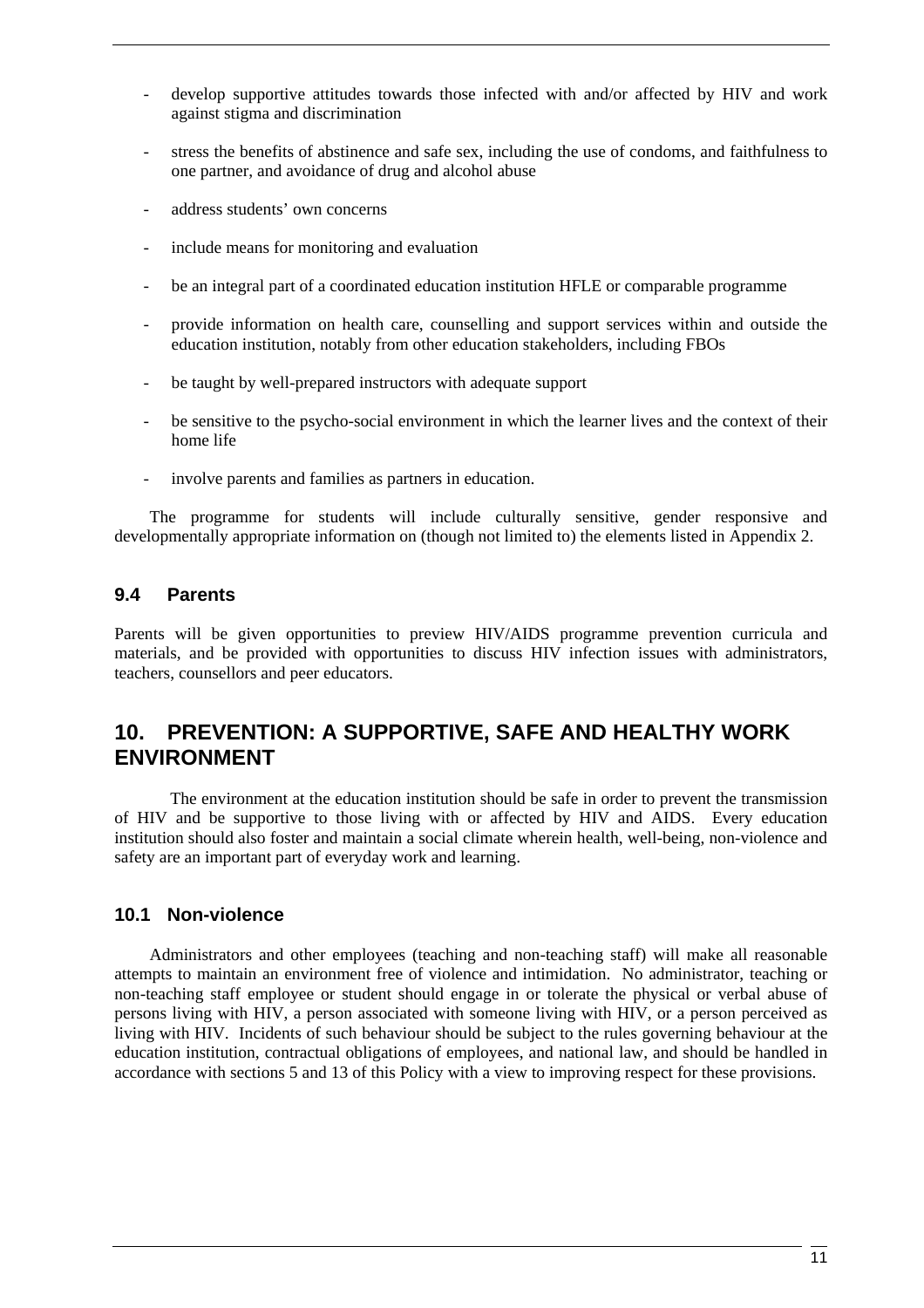- develop supportive attitudes towards those infected with and/or affected by HIV and work against stigma and discrimination
- stress the benefits of abstinence and safe sex, including the use of condoms, and faithfulness to one partner, and avoidance of drug and alcohol abuse
- address students' own concerns
- include means for monitoring and evaluation
- be an integral part of a coordinated education institution HFLE or comparable programme
- provide information on health care, counselling and support services within and outside the education institution, notably from other education stakeholders, including FBOs
- be taught by well-prepared instructors with adequate support
- be sensitive to the psycho-social environment in which the learner lives and the context of their home life
- involve parents and families as partners in education.

The programme for students will include culturally sensitive, gender responsive and developmentally appropriate information on (though not limited to) the elements listed in Appendix 2.

# **9.4 Parents**

Parents will be given opportunities to preview HIV/AIDS programme prevention curricula and materials, and be provided with opportunities to discuss HIV infection issues with administrators, teachers, counsellors and peer educators.

# **10. PREVENTION: A SUPPORTIVE, SAFE AND HEALTHY WORK ENVIRONMENT**

The environment at the education institution should be safe in order to prevent the transmission of HIV and be supportive to those living with or affected by HIV and AIDS. Every education institution should also foster and maintain a social climate wherein health, well-being, non-violence and safety are an important part of everyday work and learning.

### **10.1 Non-violence**

Administrators and other employees (teaching and non-teaching staff) will make all reasonable attempts to maintain an environment free of violence and intimidation. No administrator, teaching or non-teaching staff employee or student should engage in or tolerate the physical or verbal abuse of persons living with HIV, a person associated with someone living with HIV, or a person perceived as living with HIV. Incidents of such behaviour should be subject to the rules governing behaviour at the education institution, contractual obligations of employees, and national law, and should be handled in accordance with sections 5 and 13 of this Policy with a view to improving respect for these provisions.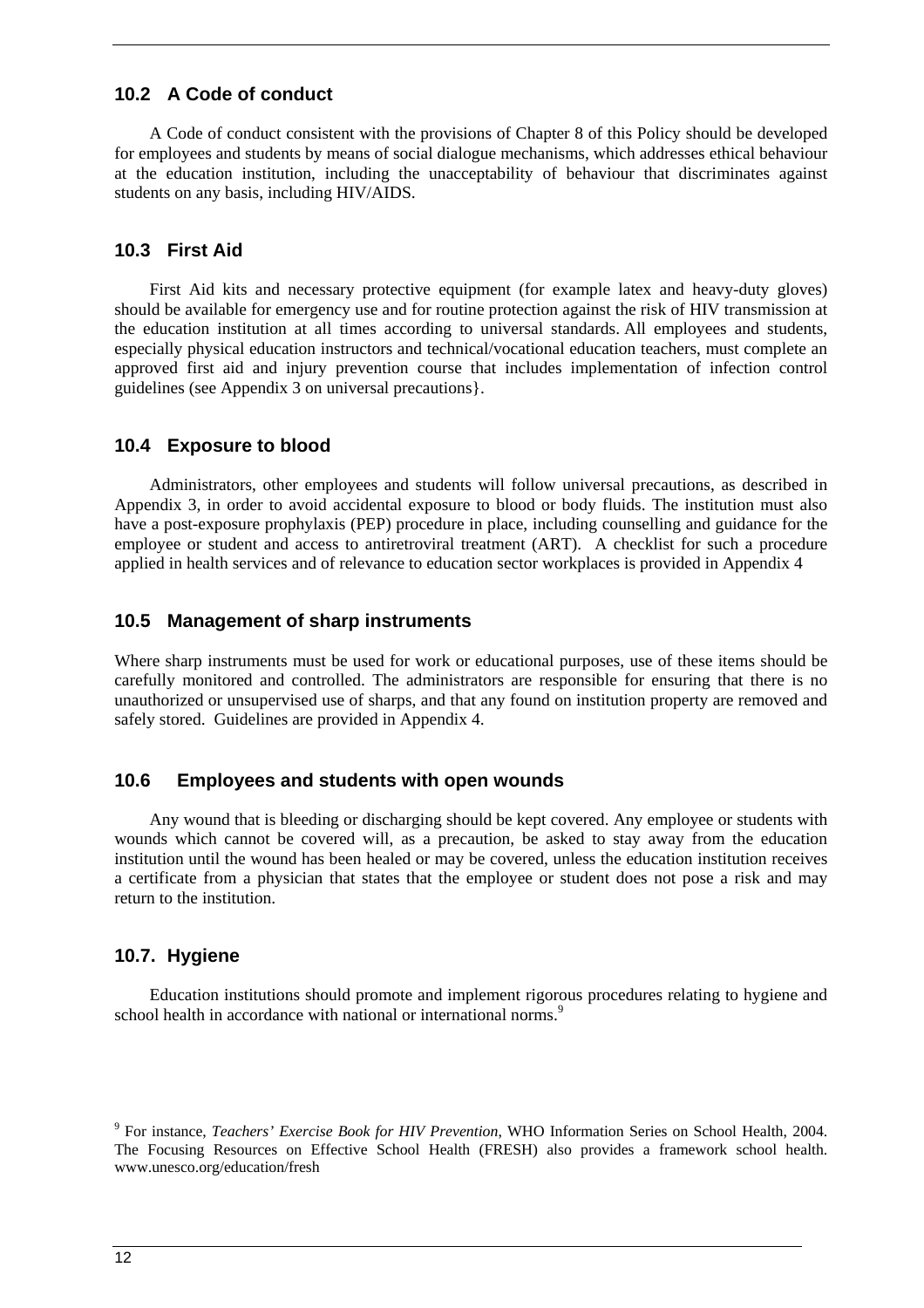# **10.2 A Code of conduct**

A Code of conduct consistent with the provisions of Chapter 8 of this Policy should be developed for employees and students by means of social dialogue mechanisms, which addresses ethical behaviour at the education institution, including the unacceptability of behaviour that discriminates against students on any basis, including HIV/AIDS.

#### **10.3 First Aid**

First Aid kits and necessary protective equipment (for example latex and heavy-duty gloves) should be available for emergency use and for routine protection against the risk of HIV transmission at the education institution at all times according to universal standards. All employees and students, especially physical education instructors and technical/vocational education teachers, must complete an approved first aid and injury prevention course that includes implementation of infection control guidelines (see Appendix 3 on universal precautions}.

### **10.4 Exposure to blood**

Administrators, other employees and students will follow universal precautions, as described in Appendix 3, in order to avoid accidental exposure to blood or body fluids. The institution must also have a post-exposure prophylaxis (PEP) procedure in place, including counselling and guidance for the employee or student and access to antiretroviral treatment (ART). A checklist for such a procedure applied in health services and of relevance to education sector workplaces is provided in Appendix 4

#### **10.5 Management of sharp instruments**

Where sharp instruments must be used for work or educational purposes, use of these items should be carefully monitored and controlled. The administrators are responsible for ensuring that there is no unauthorized or unsupervised use of sharps, and that any found on institution property are removed and safely stored. Guidelines are provided in Appendix 4.

### **10.6 Employees and students with open wounds**

Any wound that is bleeding or discharging should be kept covered. Any employee or students with wounds which cannot be covered will, as a precaution, be asked to stay away from the education institution until the wound has been healed or may be covered, unless the education institution receives a certificate from a physician that states that the employee or student does not pose a risk and may return to the institution.

### **10.7. Hygiene**

Education institutions should promote and implement rigorous procedures relating to hygiene and school health in accordance with national or international norms.<sup>9</sup>

<sup>9</sup> For instance, *Teachers' Exercise Book for HIV Prevention*, WHO Information Series on School Health, 2004. The Focusing Resources on Effective School Health (FRESH) also provides a framework school health. www.unesco.org/education/fresh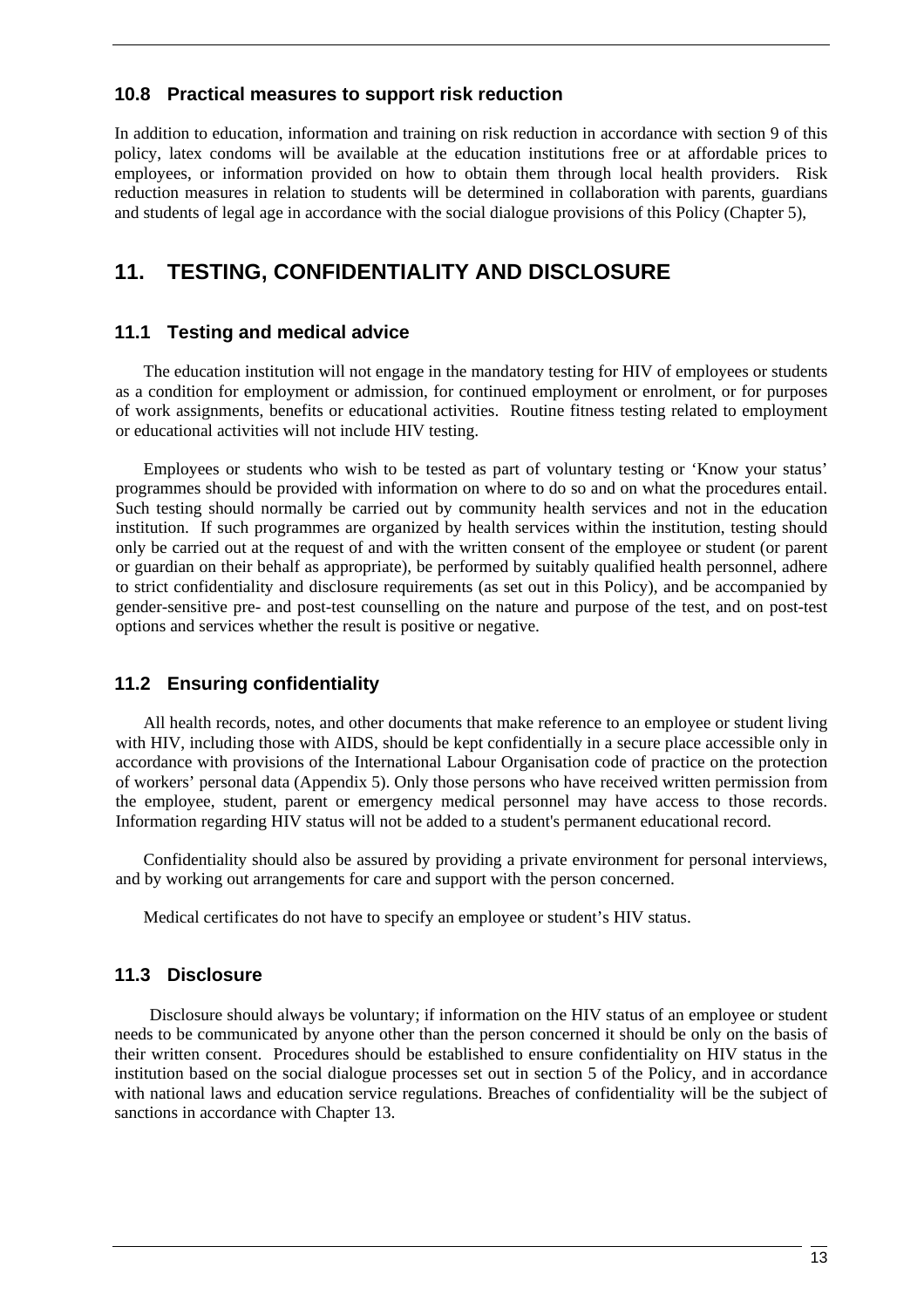### **10.8 Practical measures to support risk reduction**

In addition to education, information and training on risk reduction in accordance with section 9 of this policy, latex condoms will be available at the education institutions free or at affordable prices to employees, or information provided on how to obtain them through local health providers. Risk reduction measures in relation to students will be determined in collaboration with parents, guardians and students of legal age in accordance with the social dialogue provisions of this Policy (Chapter 5),

# **11. TESTING, CONFIDENTIALITY AND DISCLOSURE**

### **11.1 Testing and medical advice**

The education institution will not engage in the mandatory testing for HIV of employees or students as a condition for employment or admission, for continued employment or enrolment, or for purposes of work assignments, benefits or educational activities. Routine fitness testing related to employment or educational activities will not include HIV testing.

Employees or students who wish to be tested as part of voluntary testing or 'Know your status' programmes should be provided with information on where to do so and on what the procedures entail. Such testing should normally be carried out by community health services and not in the education institution. If such programmes are organized by health services within the institution, testing should only be carried out at the request of and with the written consent of the employee or student (or parent or guardian on their behalf as appropriate), be performed by suitably qualified health personnel, adhere to strict confidentiality and disclosure requirements (as set out in this Policy), and be accompanied by gender-sensitive pre- and post-test counselling on the nature and purpose of the test, and on post-test options and services whether the result is positive or negative.

### **11.2 Ensuring confidentiality**

All health records, notes, and other documents that make reference to an employee or student living with HIV, including those with AIDS, should be kept confidentially in a secure place accessible only in accordance with provisions of the International Labour Organisation code of practice on the protection of workers' personal data (Appendix 5). Only those persons who have received written permission from the employee, student, parent or emergency medical personnel may have access to those records. Information regarding HIV status will not be added to a student's permanent educational record.

Confidentiality should also be assured by providing a private environment for personal interviews, and by working out arrangements for care and support with the person concerned.

Medical certificates do not have to specify an employee or student's HIV status.

### **11.3 Disclosure**

Disclosure should always be voluntary; if information on the HIV status of an employee or student needs to be communicated by anyone other than the person concerned it should be only on the basis of their written consent. Procedures should be established to ensure confidentiality on HIV status in the institution based on the social dialogue processes set out in section 5 of the Policy, and in accordance with national laws and education service regulations. Breaches of confidentiality will be the subject of sanctions in accordance with Chapter 13.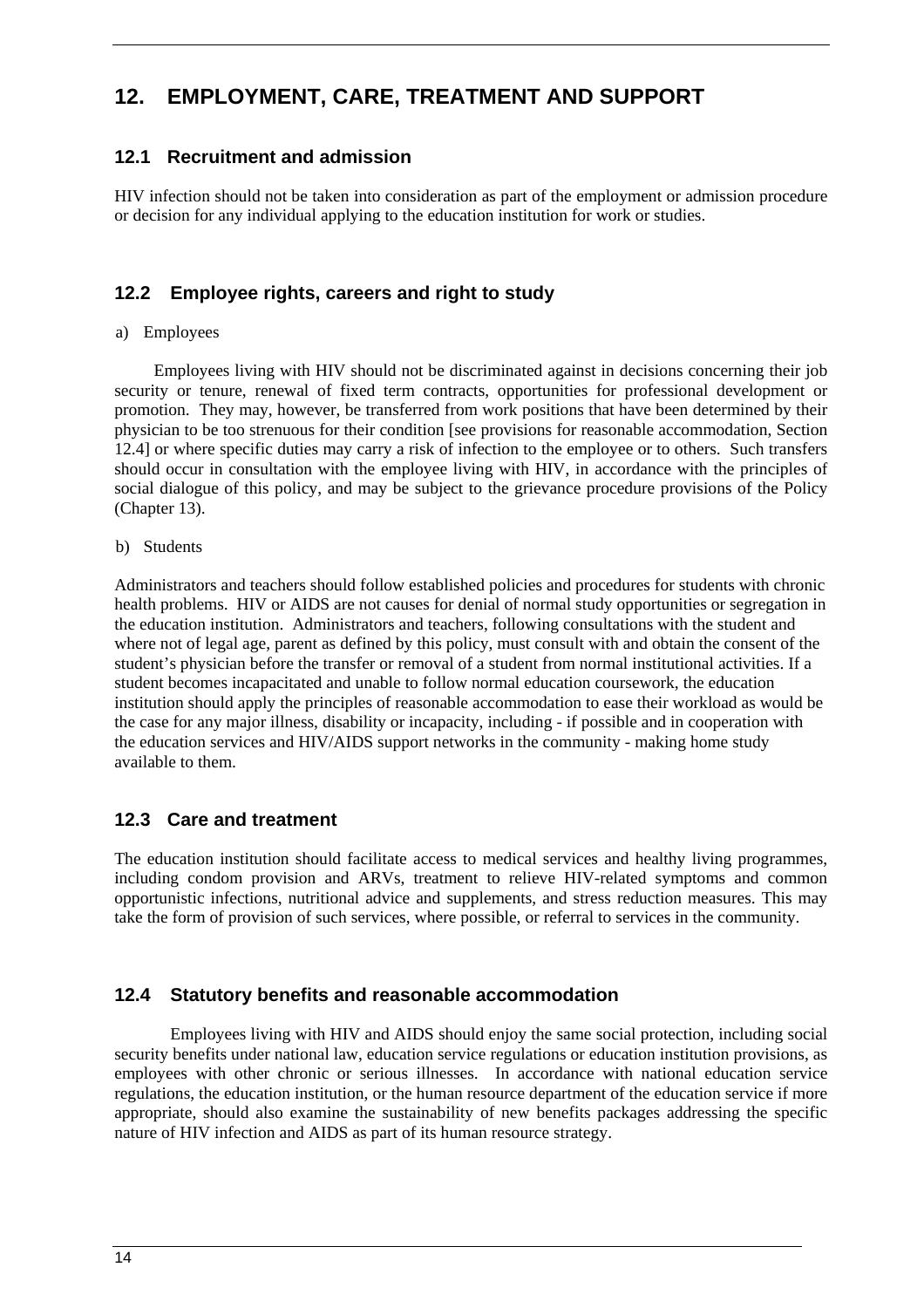# **12. EMPLOYMENT, CARE, TREATMENT AND SUPPORT**

# **12.1 Recruitment and admission**

HIV infection should not be taken into consideration as part of the employment or admission procedure or decision for any individual applying to the education institution for work or studies.

# **12.2 Employee rights, careers and right to study**

a) Employees

 Employees living with HIV should not be discriminated against in decisions concerning their job security or tenure, renewal of fixed term contracts, opportunities for professional development or promotion. They may, however, be transferred from work positions that have been determined by their physician to be too strenuous for their condition [see provisions for reasonable accommodation, Section 12.4] or where specific duties may carry a risk of infection to the employee or to others. Such transfers should occur in consultation with the employee living with HIV, in accordance with the principles of social dialogue of this policy, and may be subject to the grievance procedure provisions of the Policy (Chapter 13).

b) Students

Administrators and teachers should follow established policies and procedures for students with chronic health problems. HIV or AIDS are not causes for denial of normal study opportunities or segregation in the education institution. Administrators and teachers, following consultations with the student and where not of legal age, parent as defined by this policy, must consult with and obtain the consent of the student's physician before the transfer or removal of a student from normal institutional activities. If a student becomes incapacitated and unable to follow normal education coursework, the education institution should apply the principles of reasonable accommodation to ease their workload as would be the case for any major illness, disability or incapacity, including - if possible and in cooperation with the education services and HIV/AIDS support networks in the community - making home study available to them.

### **12.3 Care and treatment**

The education institution should facilitate access to medical services and healthy living programmes, including condom provision and ARVs, treatment to relieve HIV-related symptoms and common opportunistic infections, nutritional advice and supplements, and stress reduction measures. This may take the form of provision of such services, where possible, or referral to services in the community.

### **12.4 Statutory benefits and reasonable accommodation**

 Employees living with HIV and AIDS should enjoy the same social protection, including social security benefits under national law, education service regulations or education institution provisions, as employees with other chronic or serious illnesses. In accordance with national education service regulations, the education institution, or the human resource department of the education service if more appropriate, should also examine the sustainability of new benefits packages addressing the specific nature of HIV infection and AIDS as part of its human resource strategy.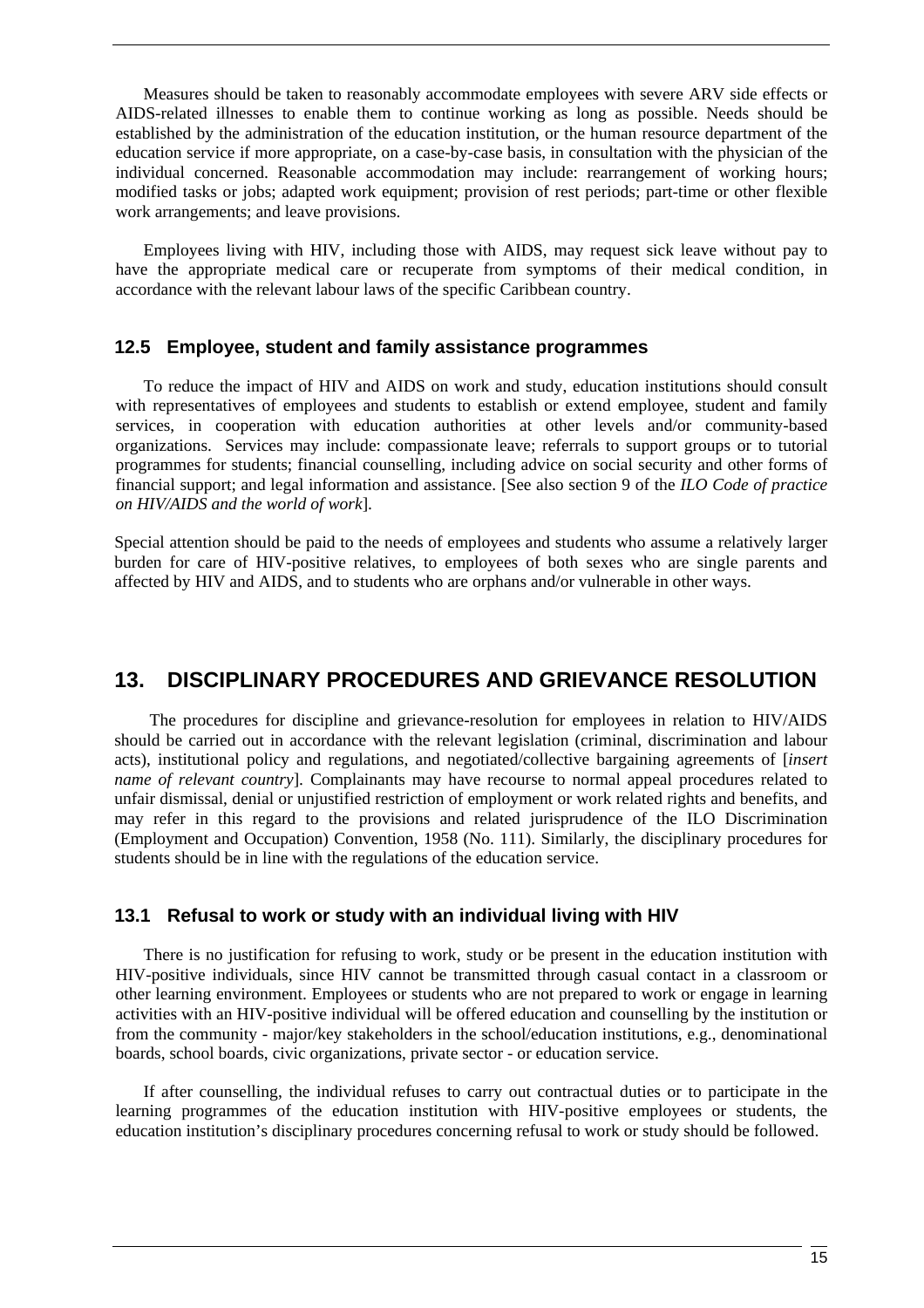Measures should be taken to reasonably accommodate employees with severe ARV side effects or AIDS-related illnesses to enable them to continue working as long as possible. Needs should be established by the administration of the education institution, or the human resource department of the education service if more appropriate, on a case-by-case basis, in consultation with the physician of the individual concerned. Reasonable accommodation may include: rearrangement of working hours; modified tasks or jobs; adapted work equipment; provision of rest periods; part-time or other flexible work arrangements; and leave provisions.

Employees living with HIV, including those with AIDS, may request sick leave without pay to have the appropriate medical care or recuperate from symptoms of their medical condition, in accordance with the relevant labour laws of the specific Caribbean country.

#### **12.5 Employee, student and family assistance programmes**

To reduce the impact of HIV and AIDS on work and study, education institutions should consult with representatives of employees and students to establish or extend employee, student and family services, in cooperation with education authorities at other levels and/or community-based organizations. Services may include: compassionate leave; referrals to support groups or to tutorial programmes for students; financial counselling, including advice on social security and other forms of financial support; and legal information and assistance. [See also section 9 of the *ILO Code of practice on HIV/AIDS and the world of work*].

Special attention should be paid to the needs of employees and students who assume a relatively larger burden for care of HIV-positive relatives, to employees of both sexes who are single parents and affected by HIV and AIDS, and to students who are orphans and/or vulnerable in other ways.

# **13. DISCIPLINARY PROCEDURES AND GRIEVANCE RESOLUTION**

The procedures for discipline and grievance-resolution for employees in relation to HIV/AIDS should be carried out in accordance with the relevant legislation (criminal, discrimination and labour acts), institutional policy and regulations, and negotiated/collective bargaining agreements of [*insert name of relevant country*]. Complainants may have recourse to normal appeal procedures related to unfair dismissal, denial or unjustified restriction of employment or work related rights and benefits, and may refer in this regard to the provisions and related jurisprudence of the ILO Discrimination (Employment and Occupation) Convention, 1958 (No. 111). Similarly, the disciplinary procedures for students should be in line with the regulations of the education service.

### **13.1 Refusal to work or study with an individual living with HIV**

There is no justification for refusing to work, study or be present in the education institution with HIV-positive individuals, since HIV cannot be transmitted through casual contact in a classroom or other learning environment. Employees or students who are not prepared to work or engage in learning activities with an HIV-positive individual will be offered education and counselling by the institution or from the community - major/key stakeholders in the school/education institutions, e.g., denominational boards, school boards, civic organizations, private sector - or education service.

If after counselling, the individual refuses to carry out contractual duties or to participate in the learning programmes of the education institution with HIV-positive employees or students, the education institution's disciplinary procedures concerning refusal to work or study should be followed.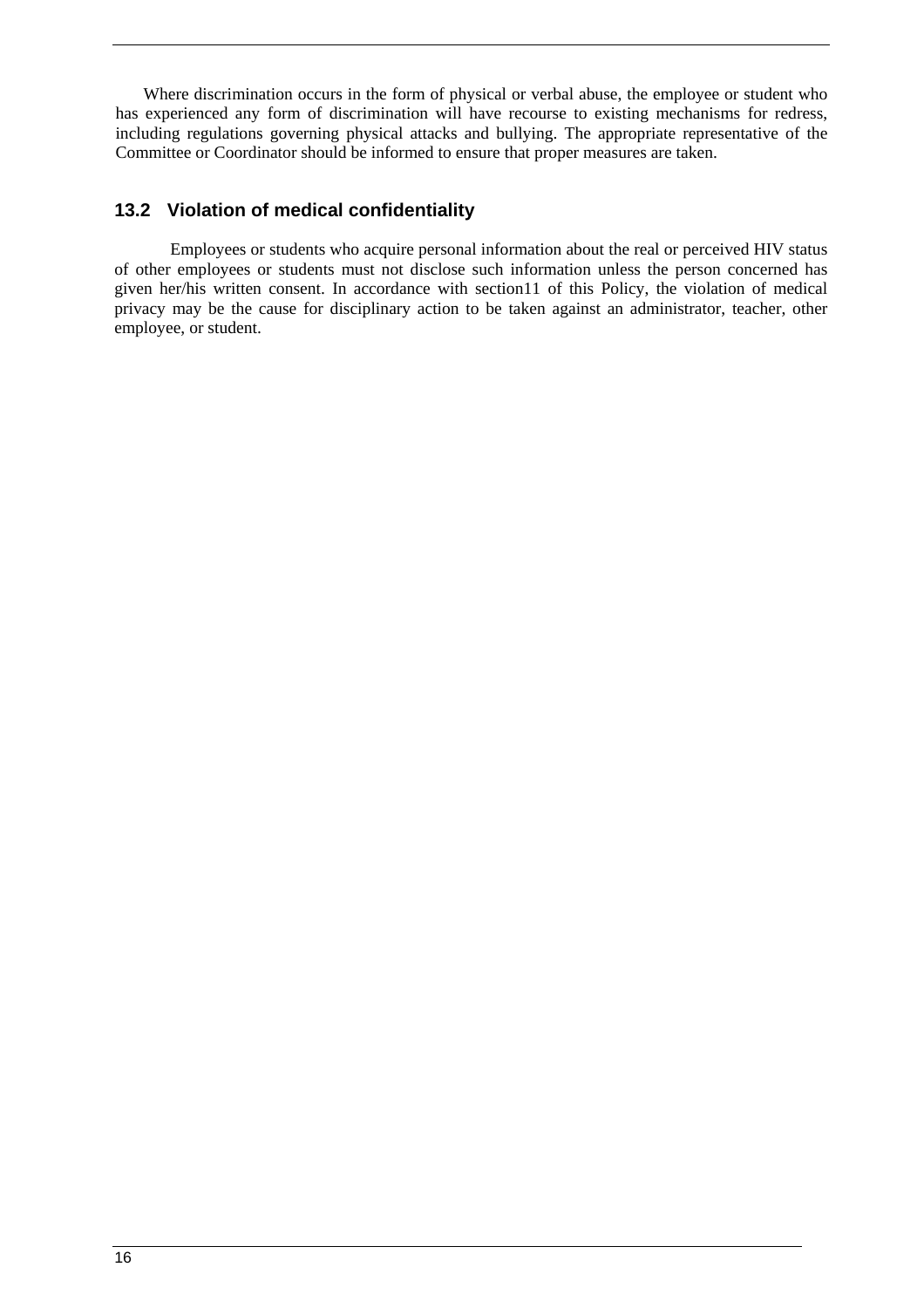Where discrimination occurs in the form of physical or verbal abuse, the employee or student who has experienced any form of discrimination will have recourse to existing mechanisms for redress, including regulations governing physical attacks and bullying. The appropriate representative of the Committee or Coordinator should be informed to ensure that proper measures are taken.

# **13.2 Violation of medical confidentiality**

Employees or students who acquire personal information about the real or perceived HIV status of other employees or students must not disclose such information unless the person concerned has given her/his written consent. In accordance with section11 of this Policy, the violation of medical privacy may be the cause for disciplinary action to be taken against an administrator, teacher, other employee, or student.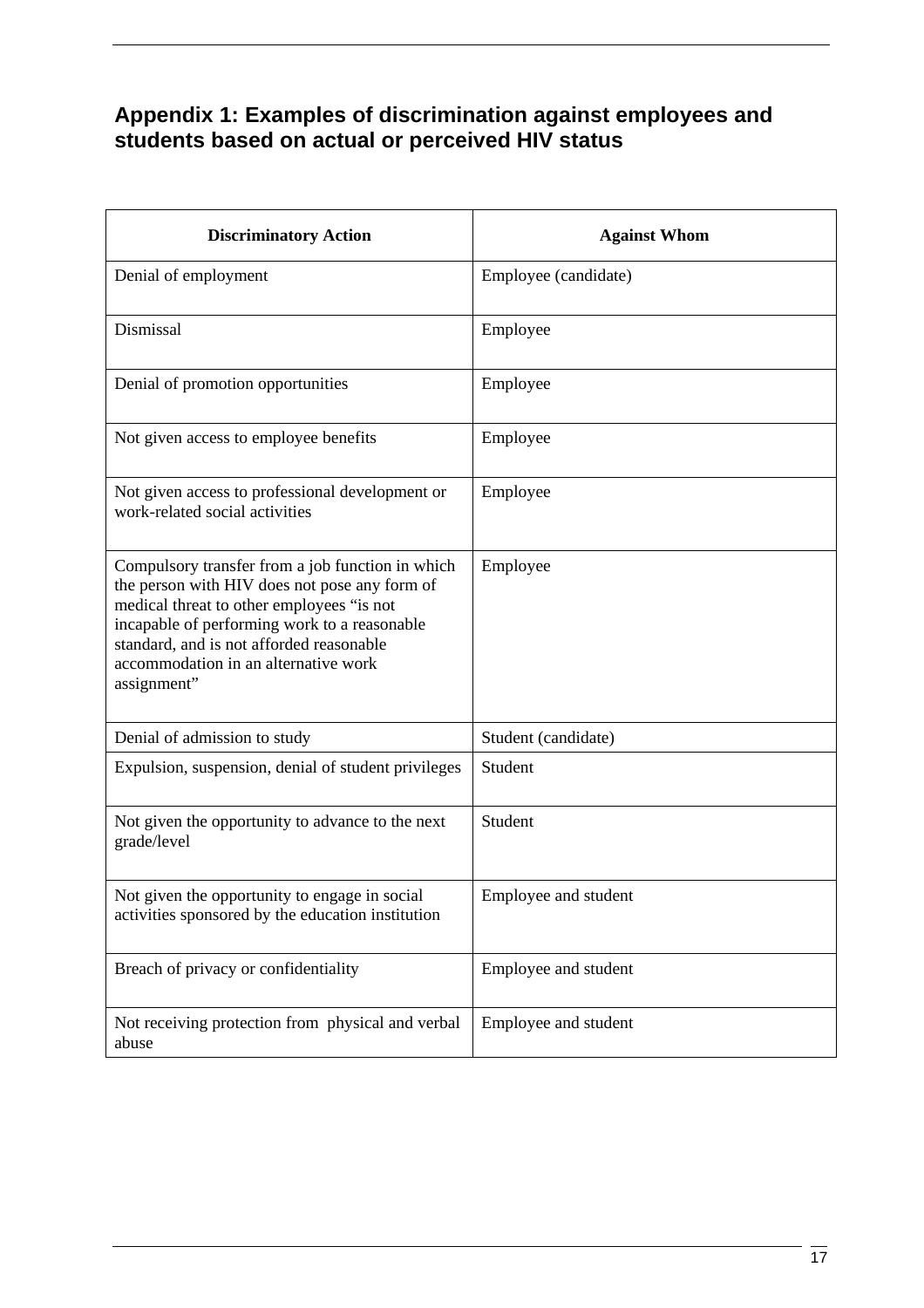# **Appendix 1: Examples of discrimination against employees and students based on actual or perceived HIV status**

| <b>Discriminatory Action</b>                                                                                                                                                                                                                                                                      | <b>Against Whom</b>  |
|---------------------------------------------------------------------------------------------------------------------------------------------------------------------------------------------------------------------------------------------------------------------------------------------------|----------------------|
| Denial of employment                                                                                                                                                                                                                                                                              | Employee (candidate) |
| Dismissal                                                                                                                                                                                                                                                                                         | Employee             |
| Denial of promotion opportunities                                                                                                                                                                                                                                                                 | Employee             |
| Not given access to employee benefits                                                                                                                                                                                                                                                             | Employee             |
| Not given access to professional development or<br>work-related social activities                                                                                                                                                                                                                 | Employee             |
| Compulsory transfer from a job function in which<br>the person with HIV does not pose any form of<br>medical threat to other employees "is not<br>incapable of performing work to a reasonable<br>standard, and is not afforded reasonable<br>accommodation in an alternative work<br>assignment" | Employee             |
| Denial of admission to study                                                                                                                                                                                                                                                                      | Student (candidate)  |
| Expulsion, suspension, denial of student privileges                                                                                                                                                                                                                                               | Student              |
| Not given the opportunity to advance to the next<br>grade/level                                                                                                                                                                                                                                   | Student              |
| Not given the opportunity to engage in social<br>activities sponsored by the education institution                                                                                                                                                                                                | Employee and student |
| Breach of privacy or confidentiality                                                                                                                                                                                                                                                              | Employee and student |
| Not receiving protection from physical and verbal<br>abuse                                                                                                                                                                                                                                        | Employee and student |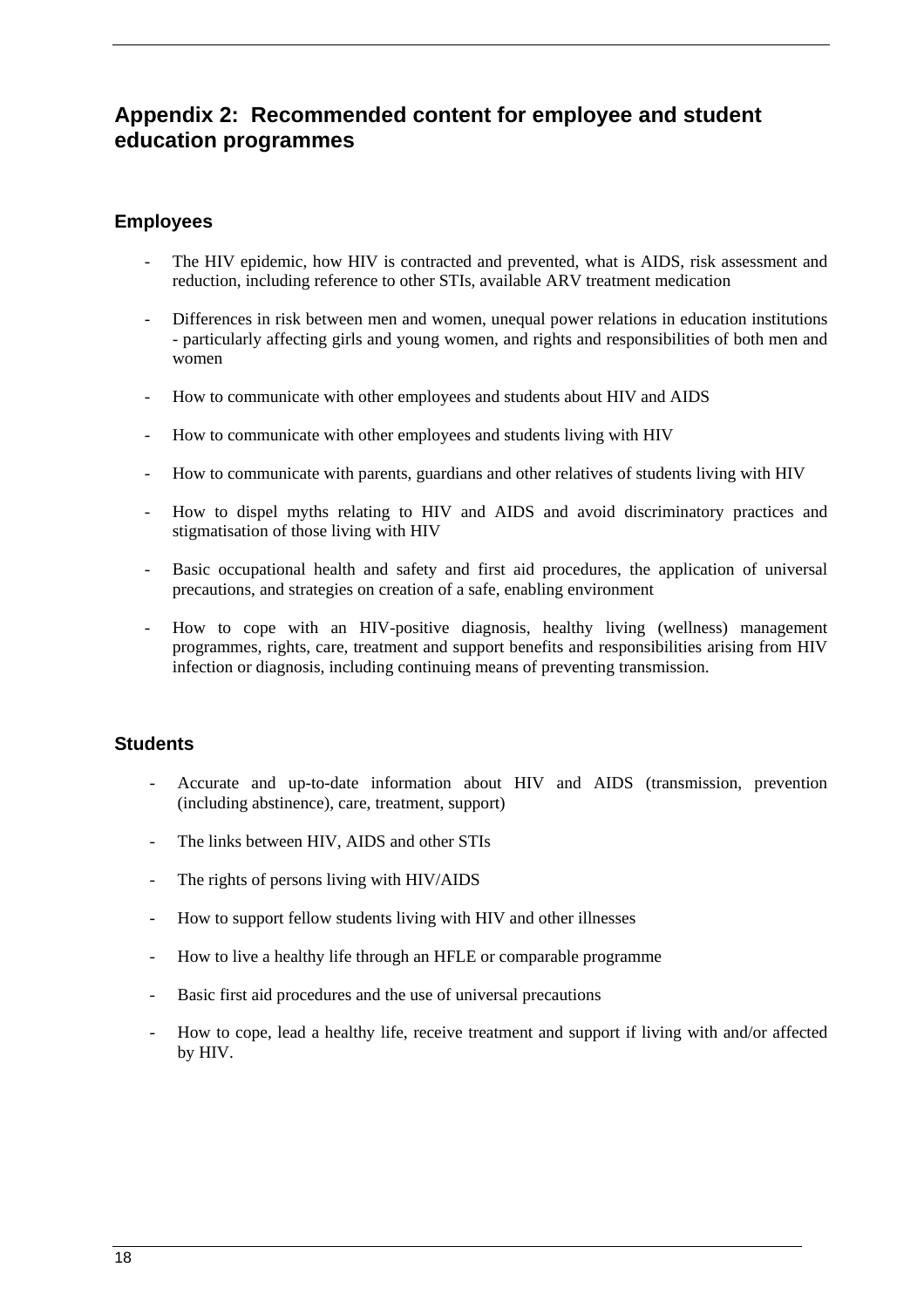# **Appendix 2: Recommended content for employee and student education programmes**

# **Employees**

- The HIV epidemic, how HIV is contracted and prevented, what is AIDS, risk assessment and reduction, including reference to other STIs, available ARV treatment medication
- Differences in risk between men and women, unequal power relations in education institutions - particularly affecting girls and young women, and rights and responsibilities of both men and women
- How to communicate with other employees and students about HIV and AIDS
- How to communicate with other employees and students living with HIV
- How to communicate with parents, guardians and other relatives of students living with HIV
- How to dispel myths relating to HIV and AIDS and avoid discriminatory practices and stigmatisation of those living with HIV
- Basic occupational health and safety and first aid procedures, the application of universal precautions, and strategies on creation of a safe, enabling environment
- How to cope with an HIV-positive diagnosis, healthy living (wellness) management programmes, rights, care, treatment and support benefits and responsibilities arising from HIV infection or diagnosis, including continuing means of preventing transmission.

### **Students**

- Accurate and up-to-date information about HIV and AIDS (transmission, prevention (including abstinence), care, treatment, support)
- The links between HIV, AIDS and other STIs
- The rights of persons living with HIV/AIDS
- How to support fellow students living with HIV and other illnesses
- How to live a healthy life through an HFLE or comparable programme
- Basic first aid procedures and the use of universal precautions
- How to cope, lead a healthy life, receive treatment and support if living with and/or affected by HIV.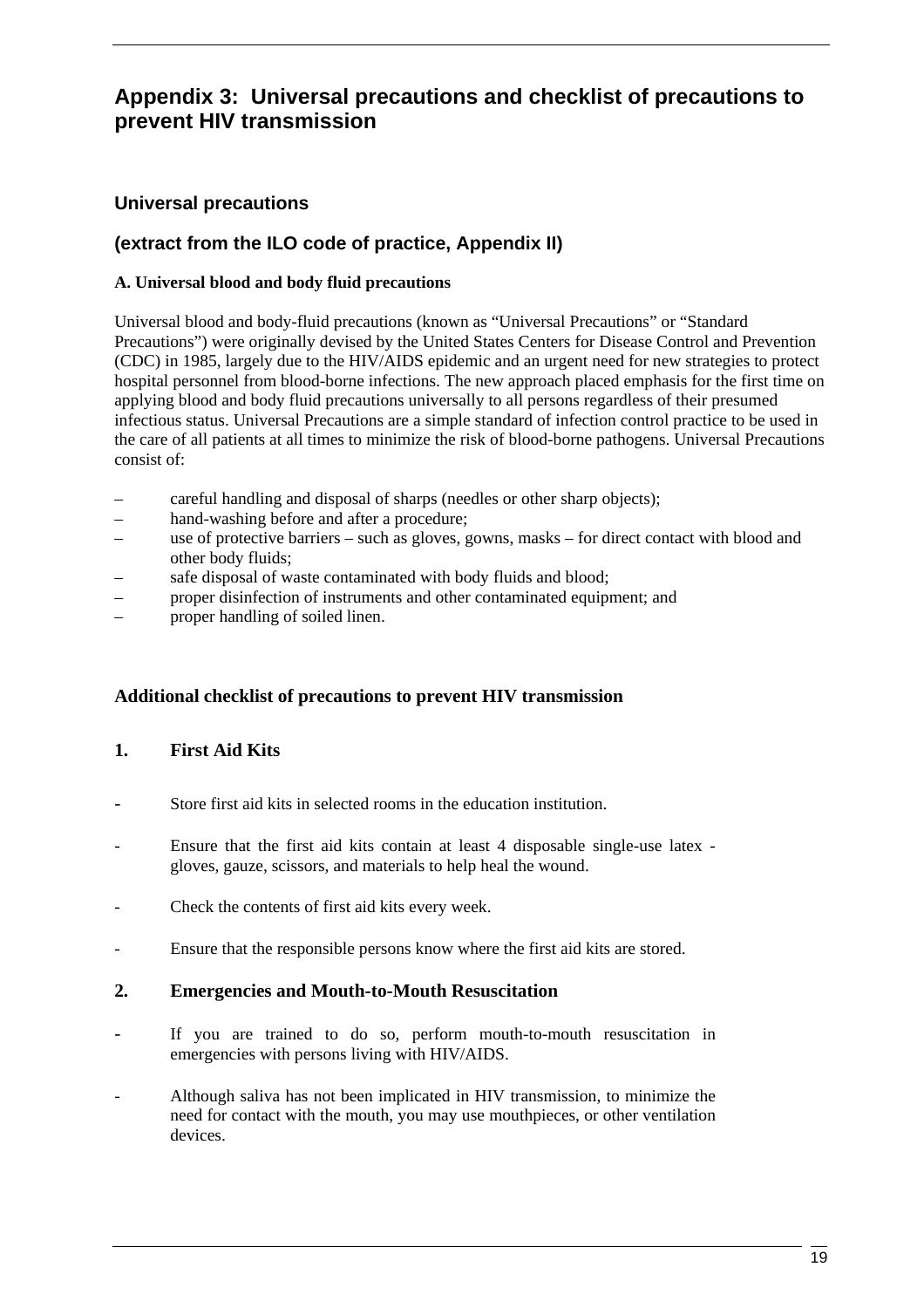# **Appendix 3: Universal precautions and checklist of precautions to prevent HIV transmission**

# **Universal precautions**

# **(extract from the ILO code of practice, Appendix II)**

### **A. Universal blood and body fluid precautions**

Universal blood and body-fluid precautions (known as "Universal Precautions" or "Standard Precautions") were originally devised by the United States Centers for Disease Control and Prevention (CDC) in 1985, largely due to the HIV/AIDS epidemic and an urgent need for new strategies to protect hospital personnel from blood-borne infections. The new approach placed emphasis for the first time on applying blood and body fluid precautions universally to all persons regardless of their presumed infectious status. Universal Precautions are a simple standard of infection control practice to be used in the care of all patients at all times to minimize the risk of blood-borne pathogens. Universal Precautions consist of:

- careful handling and disposal of sharps (needles or other sharp objects);
- hand-washing before and after a procedure;
- use of protective barriers such as gloves, gowns, masks for direct contact with blood and other body fluids;
- safe disposal of waste contaminated with body fluids and blood;
- proper disinfection of instruments and other contaminated equipment; and
- proper handling of soiled linen.

### **Additional checklist of precautions to prevent HIV transmission**

### **1. First Aid Kits**

- Store first aid kits in selected rooms in the education institution.
- Ensure that the first aid kits contain at least 4 disposable single-use latex gloves, gauze, scissors, and materials to help heal the wound.
- Check the contents of first aid kits every week.
- Ensure that the responsible persons know where the first aid kits are stored.

### **2. Emergencies and Mouth-to-Mouth Resuscitation**

- If you are trained to do so, perform mouth-to-mouth resuscitation in emergencies with persons living with HIV/AIDS.
- Although saliva has not been implicated in HIV transmission, to minimize the need for contact with the mouth, you may use mouthpieces, or other ventilation devices.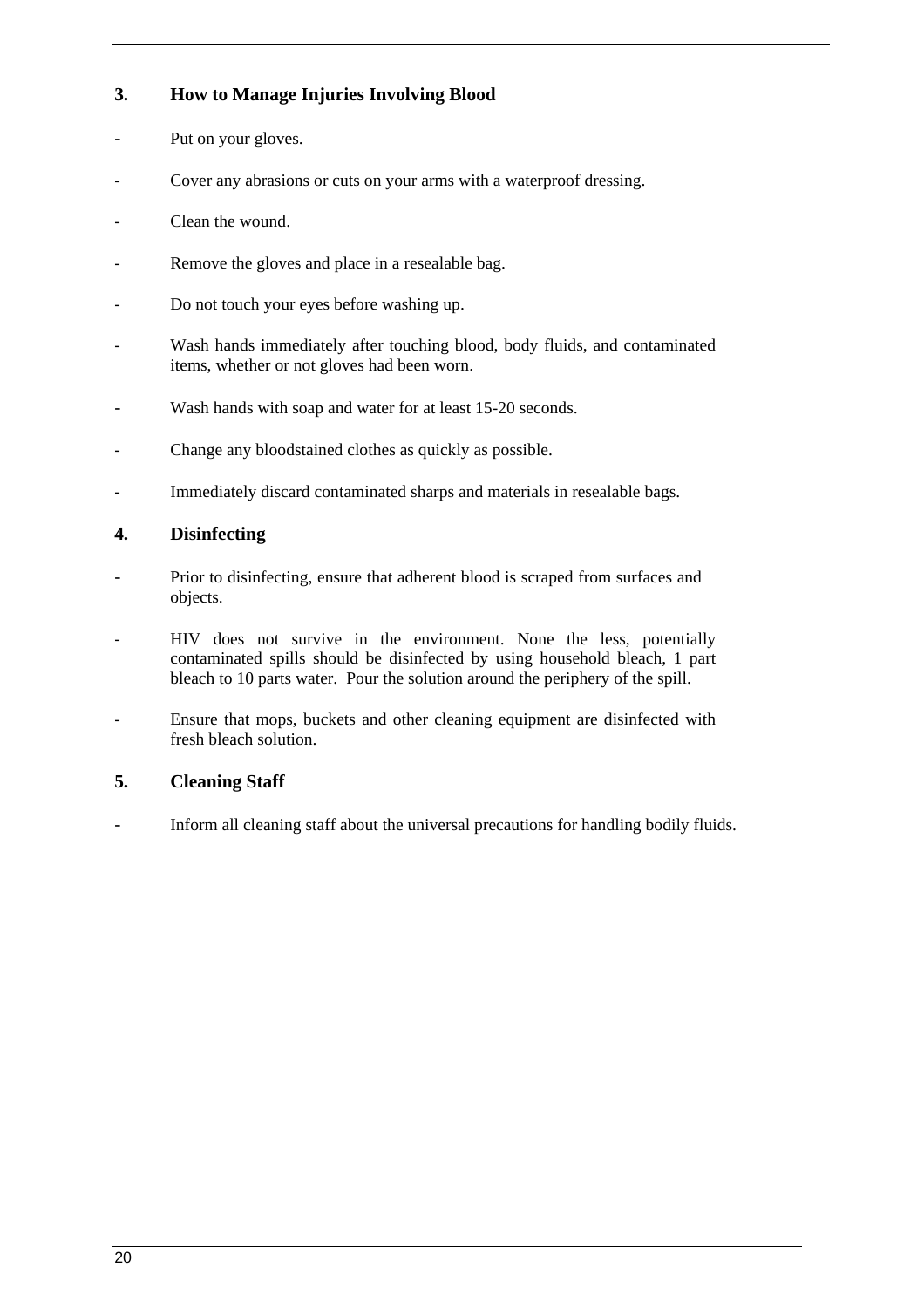# **3. How to Manage Injuries Involving Blood**

- Put on your gloves.
- Cover any abrasions or cuts on your arms with a waterproof dressing.
- Clean the wound.
- Remove the gloves and place in a resealable bag.
- Do not touch your eyes before washing up.
- Wash hands immediately after touching blood, body fluids, and contaminated items, whether or not gloves had been worn.
- Wash hands with soap and water for at least 15-20 seconds.
- Change any bloodstained clothes as quickly as possible.
- Immediately discard contaminated sharps and materials in resealable bags.

### **4. Disinfecting**

- Prior to disinfecting, ensure that adherent blood is scraped from surfaces and objects.
- HIV does not survive in the environment. None the less, potentially contaminated spills should be disinfected by using household bleach, 1 part bleach to 10 parts water. Pour the solution around the periphery of the spill.
- Ensure that mops, buckets and other cleaning equipment are disinfected with fresh bleach solution.

### **5. Cleaning Staff**

Inform all cleaning staff about the universal precautions for handling bodily fluids.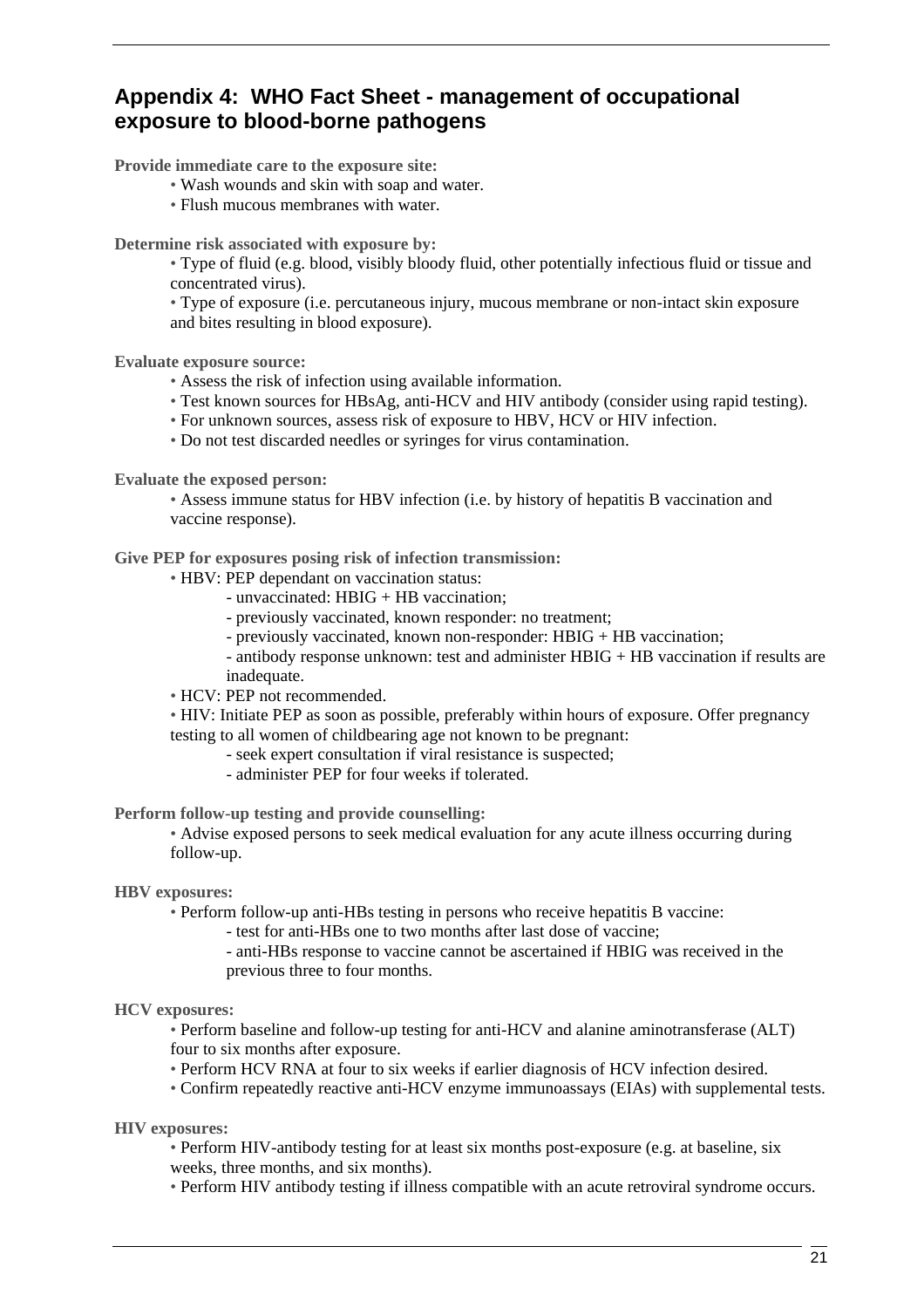# **Appendix 4: WHO Fact Sheet - management of occupational exposure to blood-borne pathogens**

**Provide immediate care to the exposure site:** 

- Wash wounds and skin with soap and water.
- Flush mucous membranes with water.

**Determine risk associated with exposure by:** 

• Type of fluid (e.g. blood, visibly bloody fluid, other potentially infectious fluid or tissue and concentrated virus).

• Type of exposure (i.e. percutaneous injury, mucous membrane or non-intact skin exposure and bites resulting in blood exposure).

**Evaluate exposure source:** 

- Assess the risk of infection using available information.
- Test known sources for HBsAg, anti-HCV and HIV antibody (consider using rapid testing).
- For unknown sources, assess risk of exposure to HBV, HCV or HIV infection.
- Do not test discarded needles or syringes for virus contamination.

**Evaluate the exposed person:** 

• Assess immune status for HBV infection (i.e. by history of hepatitis B vaccination and vaccine response).

**Give PEP for exposures posing risk of infection transmission:** 

• HBV: PEP dependant on vaccination status:

- unvaccinated: HBIG + HB vaccination;
- previously vaccinated, known responder: no treatment;
- previously vaccinated, known non-responder: HBIG + HB vaccination;
- antibody response unknown: test and administer HBIG + HB vaccination if results are inadequate.

• HCV: PEP not recommended.

• HIV: Initiate PEP as soon as possible, preferably within hours of exposure. Offer pregnancy testing to all women of childbearing age not known to be pregnant:

- seek expert consultation if viral resistance is suspected;
	- administer PEP for four weeks if tolerated.

**Perform follow-up testing and provide counselling:** 

• Advise exposed persons to seek medical evaluation for any acute illness occurring during follow-up.

#### **HBV exposures:**

• Perform follow-up anti-HBs testing in persons who receive hepatitis B vaccine:

- test for anti-HBs one to two months after last dose of vaccine;
- anti-HBs response to vaccine cannot be ascertained if HBIG was received in the previous three to four months.

#### **HCV exposures:**

• Perform baseline and follow-up testing for anti-HCV and alanine aminotransferase (ALT) four to six months after exposure.

• Perform HCV RNA at four to six weeks if earlier diagnosis of HCV infection desired.

• Confirm repeatedly reactive anti-HCV enzyme immunoassays (EIAs) with supplemental tests.

**HIV exposures:** 

• Perform HIV-antibody testing for at least six months post-exposure (e.g. at baseline, six weeks, three months, and six months).

• Perform HIV antibody testing if illness compatible with an acute retroviral syndrome occurs.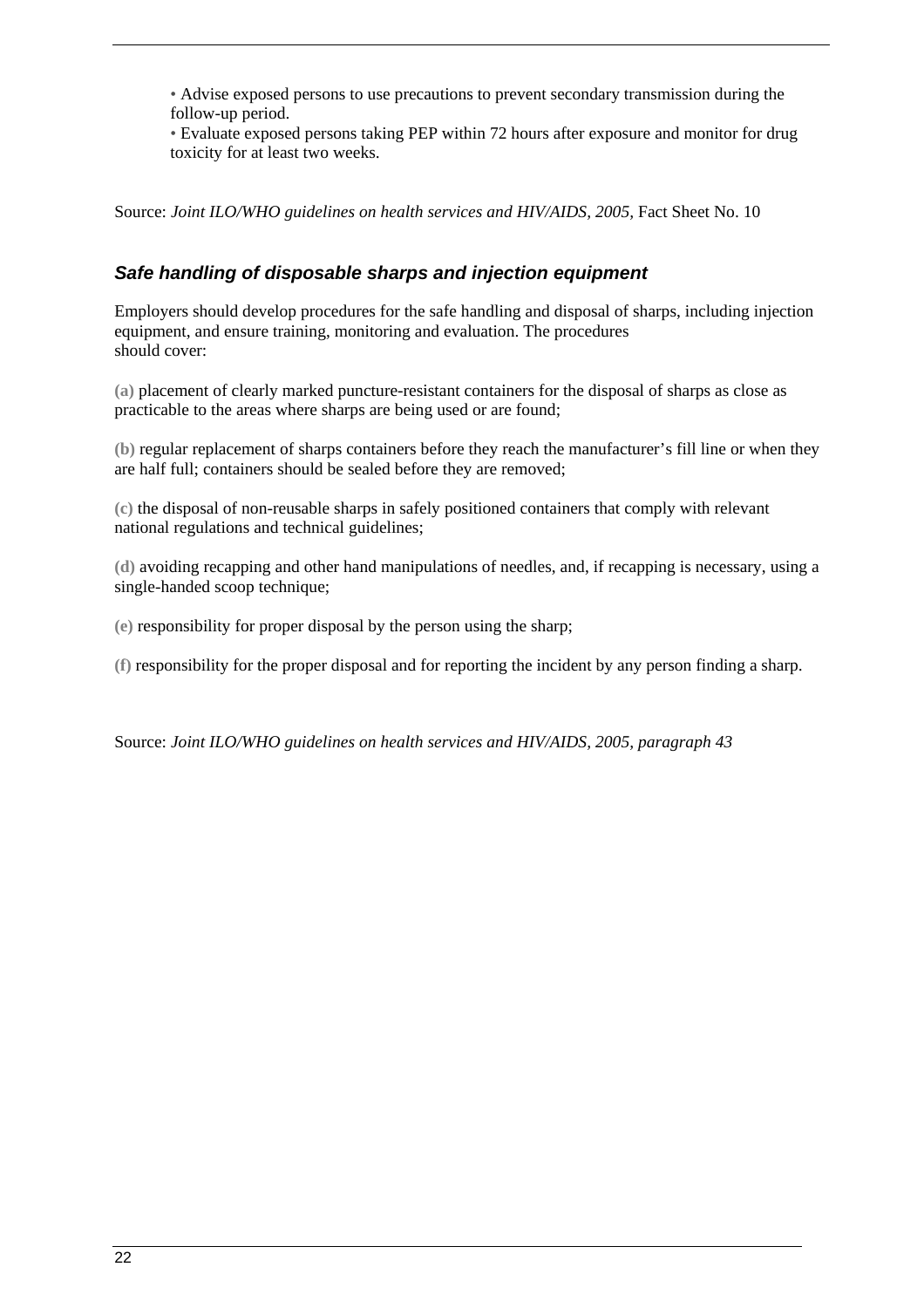• Advise exposed persons to use precautions to prevent secondary transmission during the follow-up period.

• Evaluate exposed persons taking PEP within 72 hours after exposure and monitor for drug toxicity for at least two weeks.

Source: *Joint ILO/WHO guidelines on health services and HIV/AIDS, 2005, Fact Sheet No. 10* 

# **Safe handling of disposable sharps and injection equipment**

Employers should develop procedures for the safe handling and disposal of sharps, including injection equipment, and ensure training, monitoring and evaluation. The procedures should cover:

**(a)** placement of clearly marked puncture-resistant containers for the disposal of sharps as close as practicable to the areas where sharps are being used or are found;

**(b)** regular replacement of sharps containers before they reach the manufacturer's fill line or when they are half full; containers should be sealed before they are removed;

**(c)** the disposal of non-reusable sharps in safely positioned containers that comply with relevant national regulations and technical guidelines;

**(d)** avoiding recapping and other hand manipulations of needles, and, if recapping is necessary, using a single-handed scoop technique;

**(e)** responsibility for proper disposal by the person using the sharp;

**(f)** responsibility for the proper disposal and for reporting the incident by any person finding a sharp.

Source: *Joint ILO/WHO guidelines on health services and HIV/AIDS, 2005, paragraph 43*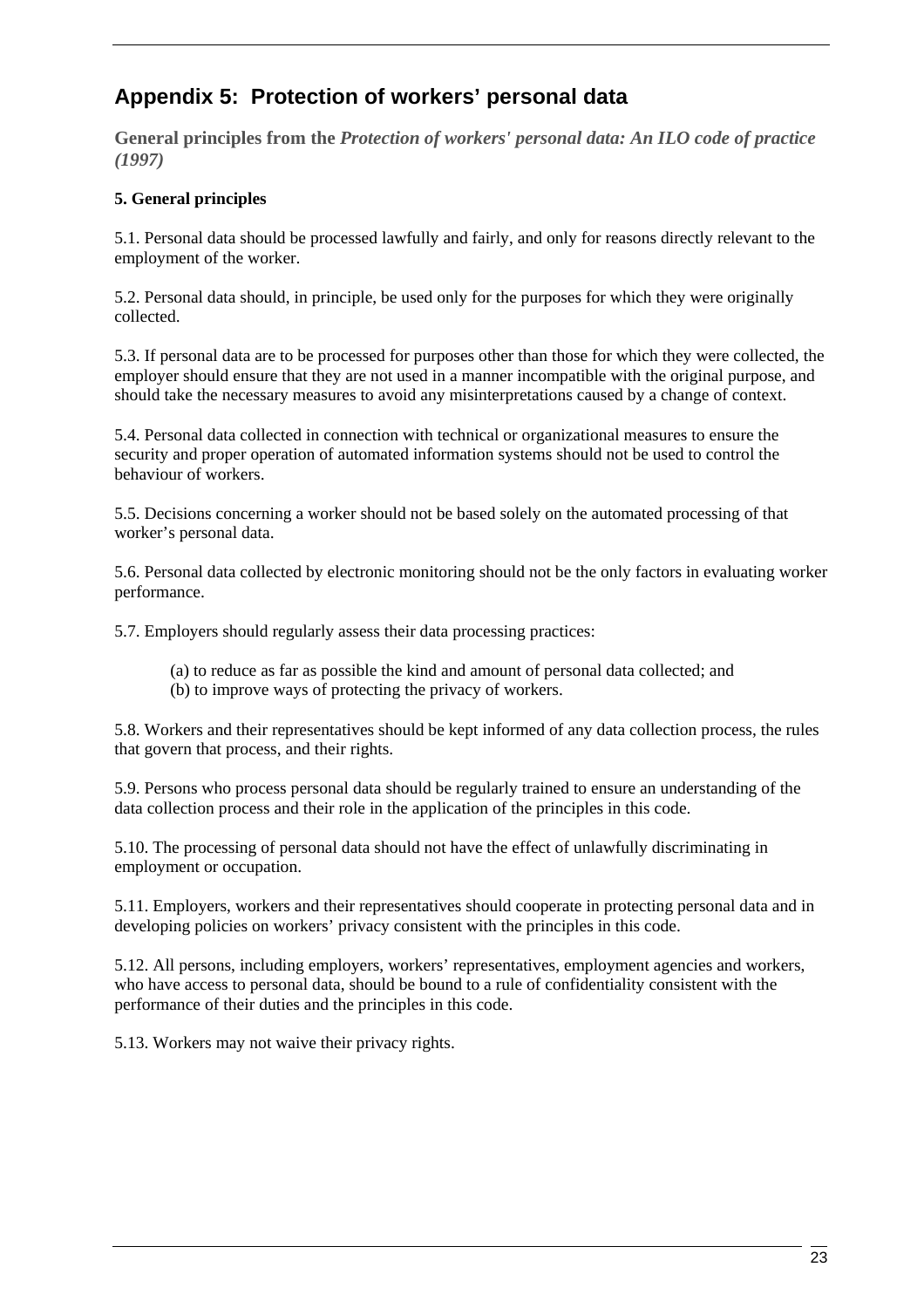# **Appendix 5: Protection of workers' personal data**

**General principles from the** *Protection of workers' personal data: An ILO code of practice (1997)*

# **5. General principles**

5.1. Personal data should be processed lawfully and fairly, and only for reasons directly relevant to the employment of the worker.

5.2. Personal data should, in principle, be used only for the purposes for which they were originally collected.

5.3. If personal data are to be processed for purposes other than those for which they were collected, the employer should ensure that they are not used in a manner incompatible with the original purpose, and should take the necessary measures to avoid any misinterpretations caused by a change of context.

5.4. Personal data collected in connection with technical or organizational measures to ensure the security and proper operation of automated information systems should not be used to control the behaviour of workers.

5.5. Decisions concerning a worker should not be based solely on the automated processing of that worker's personal data.

5.6. Personal data collected by electronic monitoring should not be the only factors in evaluating worker performance.

5.7. Employers should regularly assess their data processing practices:

- (a) to reduce as far as possible the kind and amount of personal data collected; and
- (b) to improve ways of protecting the privacy of workers.

5.8. Workers and their representatives should be kept informed of any data collection process, the rules that govern that process, and their rights.

5.9. Persons who process personal data should be regularly trained to ensure an understanding of the data collection process and their role in the application of the principles in this code.

5.10. The processing of personal data should not have the effect of unlawfully discriminating in employment or occupation.

5.11. Employers, workers and their representatives should cooperate in protecting personal data and in developing policies on workers' privacy consistent with the principles in this code.

5.12. All persons, including employers, workers' representatives, employment agencies and workers, who have access to personal data, should be bound to a rule of confidentiality consistent with the performance of their duties and the principles in this code.

5.13. Workers may not waive their privacy rights.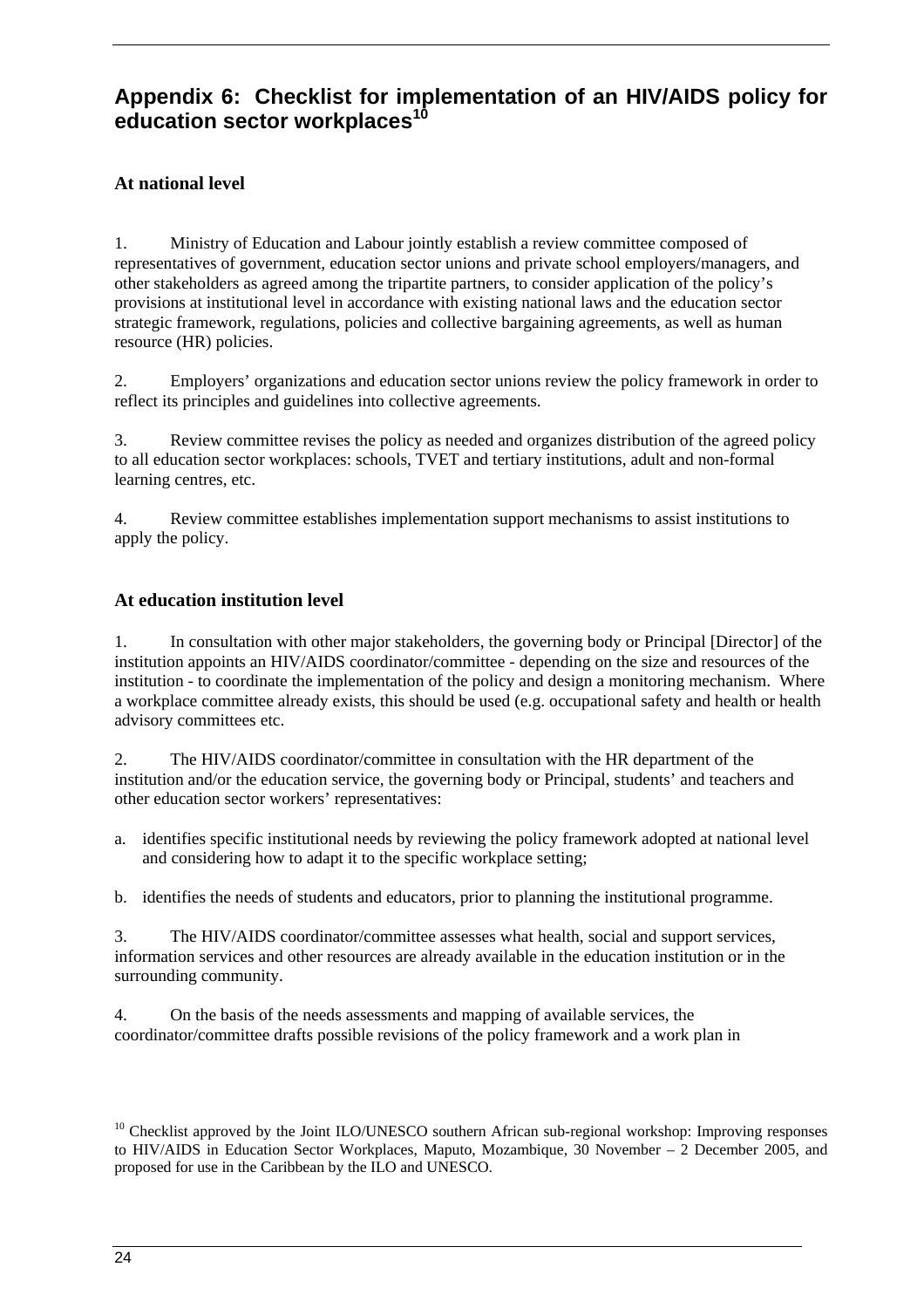# **Appendix 6: Checklist for implementation of an HIV/AIDS policy for education sector workplaces<sup>10</sup>**

# **At national level**

1. Ministry of Education and Labour jointly establish a review committee composed of representatives of government, education sector unions and private school employers/managers, and other stakeholders as agreed among the tripartite partners, to consider application of the policy's provisions at institutional level in accordance with existing national laws and the education sector strategic framework, regulations, policies and collective bargaining agreements, as well as human resource (HR) policies.

2. Employers' organizations and education sector unions review the policy framework in order to reflect its principles and guidelines into collective agreements.

3. Review committee revises the policy as needed and organizes distribution of the agreed policy to all education sector workplaces: schools, TVET and tertiary institutions, adult and non-formal learning centres, etc.

4. Review committee establishes implementation support mechanisms to assist institutions to apply the policy.

### **At education institution level**

1. In consultation with other major stakeholders, the governing body or Principal [Director] of the institution appoints an HIV/AIDS coordinator/committee - depending on the size and resources of the institution - to coordinate the implementation of the policy and design a monitoring mechanism. Where a workplace committee already exists, this should be used (e.g. occupational safety and health or health advisory committees etc.

2. The HIV/AIDS coordinator/committee in consultation with the HR department of the institution and/or the education service, the governing body or Principal, students' and teachers and other education sector workers' representatives:

a. identifies specific institutional needs by reviewing the policy framework adopted at national level and considering how to adapt it to the specific workplace setting;

b. identifies the needs of students and educators, prior to planning the institutional programme.

3. The HIV/AIDS coordinator/committee assesses what health, social and support services, information services and other resources are already available in the education institution or in the surrounding community.

4. On the basis of the needs assessments and mapping of available services, the coordinator/committee drafts possible revisions of the policy framework and a work plan in

<sup>&</sup>lt;sup>10</sup> Checklist approved by the Joint ILO/UNESCO southern African sub-regional workshop: Improving responses to HIV/AIDS in Education Sector Workplaces, Maputo, Mozambique, 30 November – 2 December 2005, and proposed for use in the Caribbean by the ILO and UNESCO.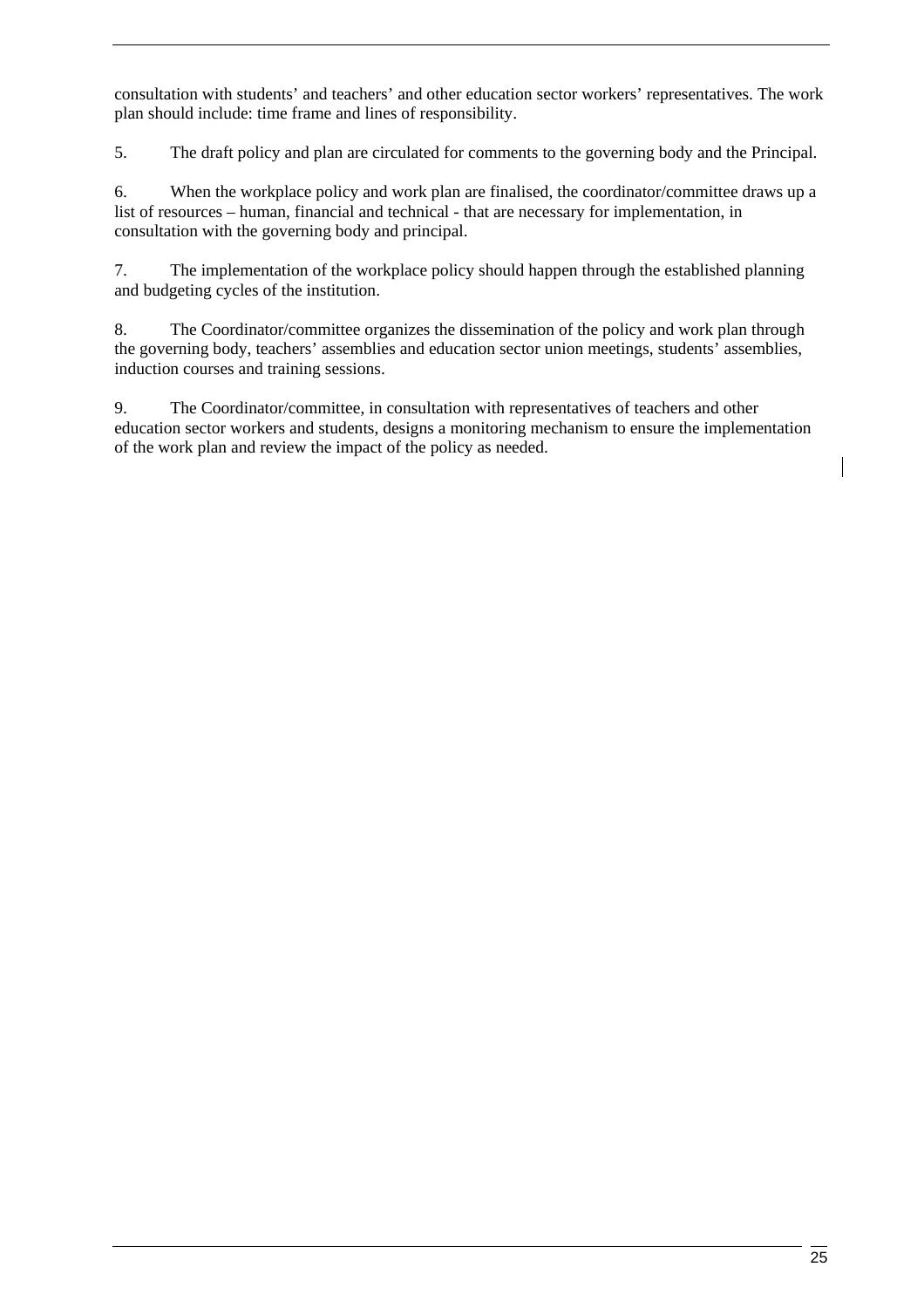consultation with students' and teachers' and other education sector workers' representatives. The work plan should include: time frame and lines of responsibility.

5. The draft policy and plan are circulated for comments to the governing body and the Principal.

6. When the workplace policy and work plan are finalised, the coordinator/committee draws up a list of resources – human, financial and technical - that are necessary for implementation, in consultation with the governing body and principal.

7. The implementation of the workplace policy should happen through the established planning and budgeting cycles of the institution.

8. The Coordinator/committee organizes the dissemination of the policy and work plan through the governing body, teachers' assemblies and education sector union meetings, students' assemblies, induction courses and training sessions.

9. The Coordinator/committee, in consultation with representatives of teachers and other education sector workers and students, designs a monitoring mechanism to ensure the implementation of the work plan and review the impact of the policy as needed.